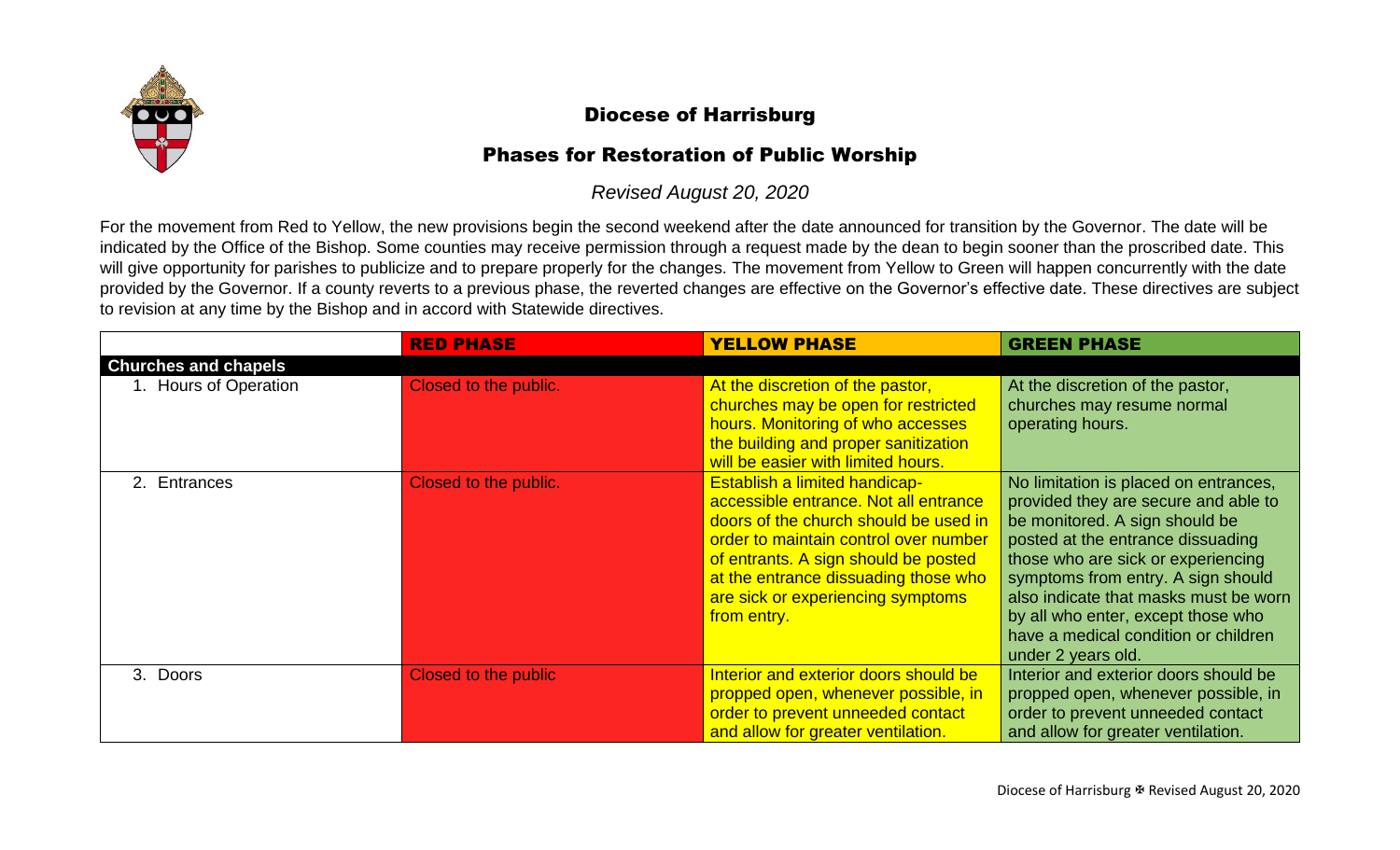

# Diocese of Harrisburg

# Phases for Restoration of Public Worship

*Revised August 20, 2020*

For the movement from Red to Yellow, the new provisions begin the second weekend after the date announced for transition by the Governor. The date will be indicated by the Office of the Bishop. Some counties may receive permission through a request made by the dean to begin sooner than the proscribed date. This will give opportunity for parishes to publicize and to prepare properly for the changes. The movement from Yellow to Green will happen concurrently with the date provided by the Governor. If a county reverts to a previous phase, the reverted changes are effective on the Governor's effective date. These directives are subject to revision at any time by the Bishop and in accord with Statewide directives.

|                             | <b>RED PHASE</b>      | <b>YELLOW PHASE</b>                                                                                                                                                                                                                                                                                 | <b>GREEN PHASE</b>                                                                                                                                                                                                                                                                                                                                                            |
|-----------------------------|-----------------------|-----------------------------------------------------------------------------------------------------------------------------------------------------------------------------------------------------------------------------------------------------------------------------------------------------|-------------------------------------------------------------------------------------------------------------------------------------------------------------------------------------------------------------------------------------------------------------------------------------------------------------------------------------------------------------------------------|
| <b>Churches and chapels</b> |                       |                                                                                                                                                                                                                                                                                                     |                                                                                                                                                                                                                                                                                                                                                                               |
| 1. Hours of Operation       | Closed to the public. | At the discretion of the pastor,<br>churches may be open for restricted<br>hours. Monitoring of who accesses<br>the building and proper sanitization<br>will be easier with limited hours.                                                                                                          | At the discretion of the pastor,<br>churches may resume normal<br>operating hours.                                                                                                                                                                                                                                                                                            |
| 2. Entrances                | Closed to the public. | <b>Establish a limited handicap-</b><br>accessible entrance. Not all entrance<br>doors of the church should be used in<br>order to maintain control over number<br>of entrants. A sign should be posted<br>at the entrance dissuading those who<br>are sick or experiencing symptoms<br>from entry. | No limitation is placed on entrances,<br>provided they are secure and able to<br>be monitored. A sign should be<br>posted at the entrance dissuading<br>those who are sick or experiencing<br>symptoms from entry. A sign should<br>also indicate that masks must be worn<br>by all who enter, except those who<br>have a medical condition or children<br>under 2 years old. |
| 3. Doors                    | Closed to the public  | Interior and exterior doors should be<br>propped open, whenever possible, in<br>order to prevent unneeded contact<br>and allow for greater ventilation.                                                                                                                                             | Interior and exterior doors should be<br>propped open, whenever possible, in<br>order to prevent unneeded contact<br>and allow for greater ventilation.                                                                                                                                                                                                                       |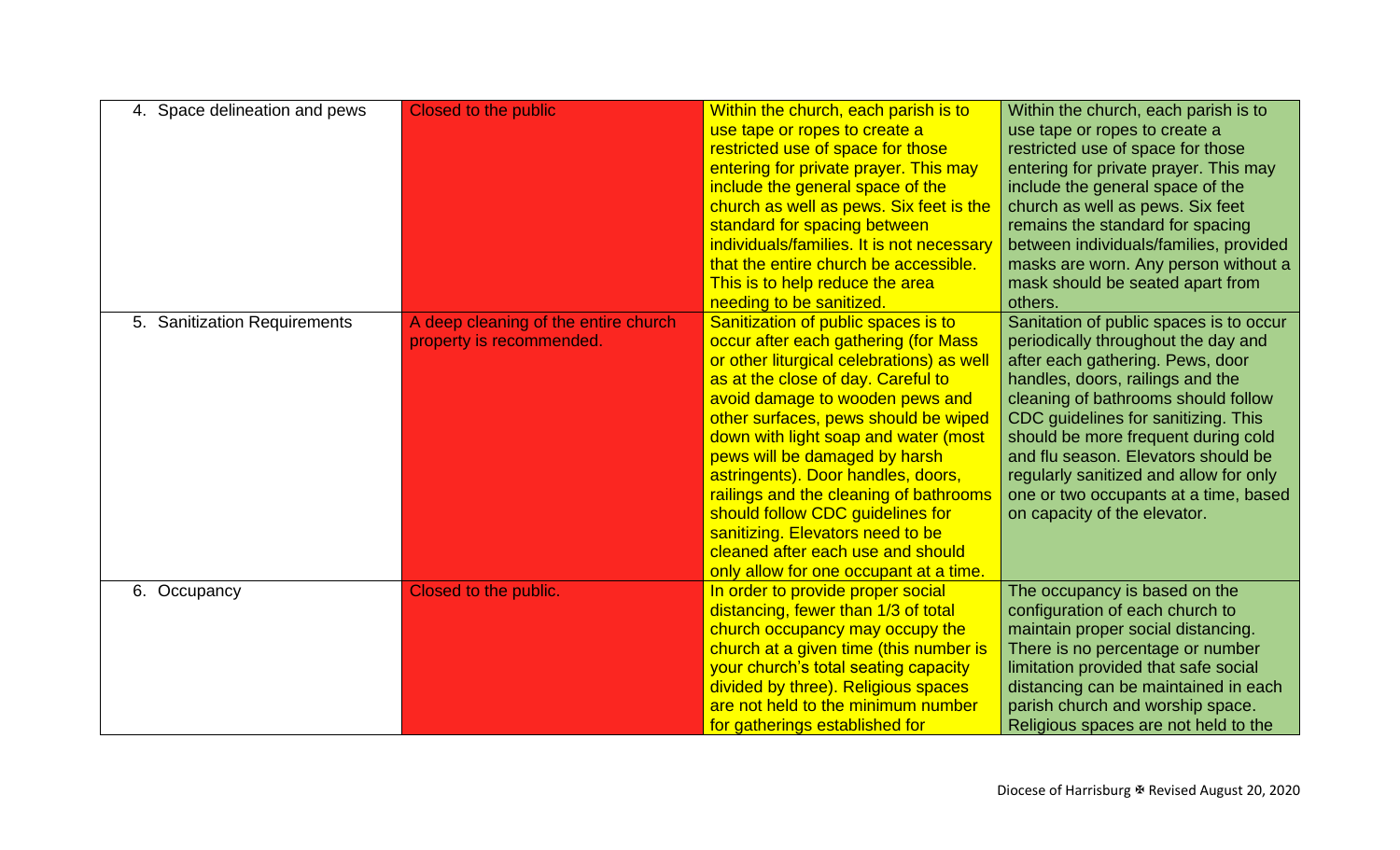| 4. Space delineation and pews | Closed to the public                                             | Within the church, each parish is to<br>use tape or ropes to create a<br>restricted use of space for those<br>entering for private prayer. This may<br>include the general space of the<br>church as well as pews. Six feet is the<br>standard for spacing between<br>individuals/families. It is not necessary<br>that the entire church be accessible.<br>This is to help reduce the area<br>needing to be sanitized.                                                                                                                                   | Within the church, each parish is to<br>use tape or ropes to create a<br>restricted use of space for those<br>entering for private prayer. This may<br>include the general space of the<br>church as well as pews. Six feet<br>remains the standard for spacing<br>between individuals/families, provided<br>masks are worn. Any person without a<br>mask should be seated apart from<br>others.                                      |
|-------------------------------|------------------------------------------------------------------|-----------------------------------------------------------------------------------------------------------------------------------------------------------------------------------------------------------------------------------------------------------------------------------------------------------------------------------------------------------------------------------------------------------------------------------------------------------------------------------------------------------------------------------------------------------|---------------------------------------------------------------------------------------------------------------------------------------------------------------------------------------------------------------------------------------------------------------------------------------------------------------------------------------------------------------------------------------------------------------------------------------|
| 5. Sanitization Requirements  | A deep cleaning of the entire church<br>property is recommended. | Sanitization of public spaces is to<br>occur after each gathering (for Mass<br>or other liturgical celebrations) as well<br>as at the close of day. Careful to<br>avoid damage to wooden pews and<br>other surfaces, pews should be wiped<br>down with light soap and water (most<br>pews will be damaged by harsh<br>astringents). Door handles, doors,<br>railings and the cleaning of bathrooms<br>should follow CDC guidelines for<br>sanitizing. Elevators need to be<br>cleaned after each use and should<br>only allow for one occupant at a time. | Sanitation of public spaces is to occur<br>periodically throughout the day and<br>after each gathering. Pews, door<br>handles, doors, railings and the<br>cleaning of bathrooms should follow<br>CDC guidelines for sanitizing. This<br>should be more frequent during cold<br>and flu season. Elevators should be<br>regularly sanitized and allow for only<br>one or two occupants at a time, based<br>on capacity of the elevator. |
| 6. Occupancy                  | Closed to the public.                                            | In order to provide proper social<br>distancing, fewer than 1/3 of total<br>church occupancy may occupy the<br>church at a given time (this number is<br>your church's total seating capacity<br>divided by three). Religious spaces<br>are not held to the minimum number<br>for gatherings established for                                                                                                                                                                                                                                              | The occupancy is based on the<br>configuration of each church to<br>maintain proper social distancing.<br>There is no percentage or number<br>limitation provided that safe social<br>distancing can be maintained in each<br>parish church and worship space.<br>Religious spaces are not held to the                                                                                                                                |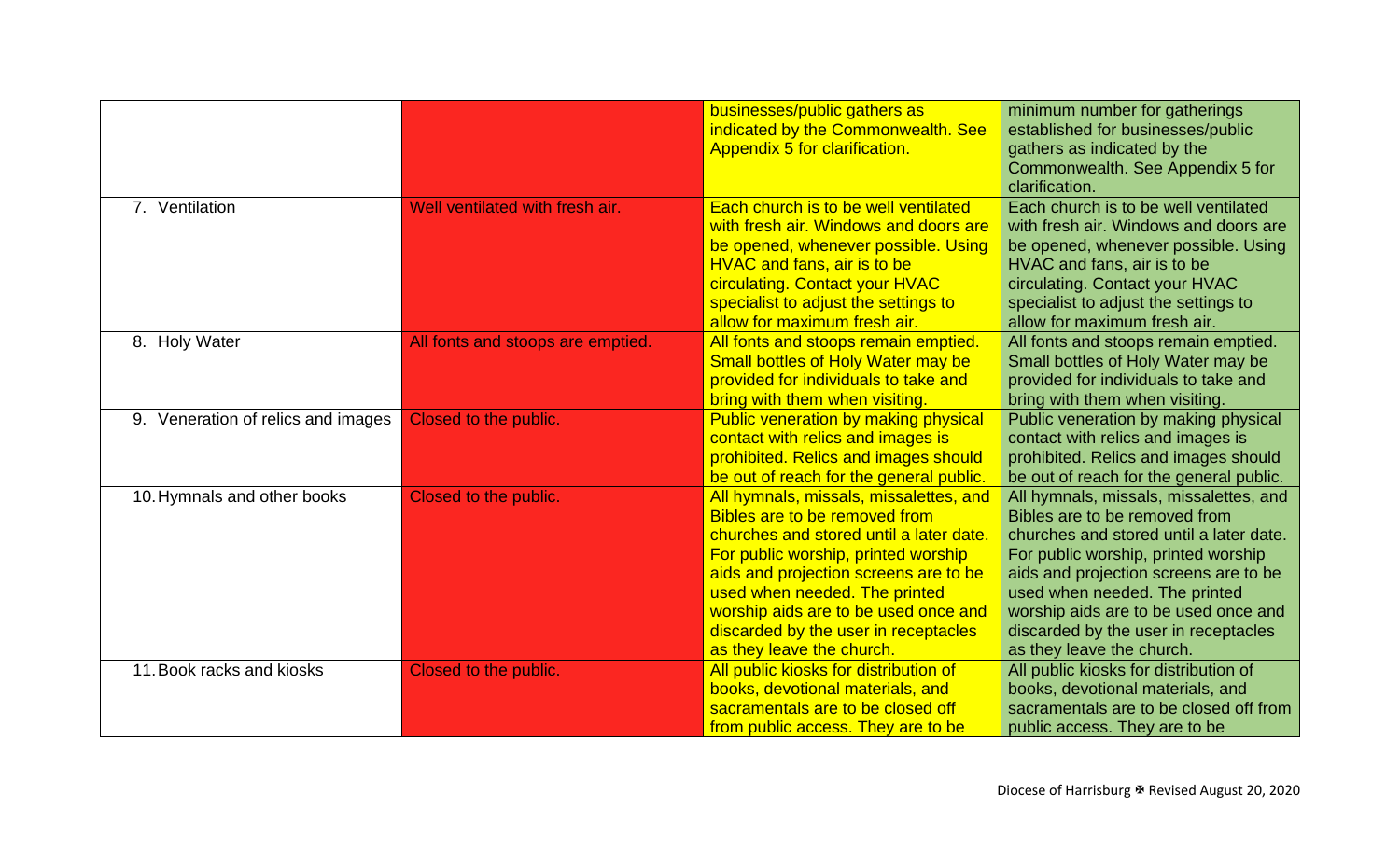|                                    |                                   | businesses/public gathers as<br>indicated by the Commonwealth. See<br>Appendix 5 for clarification.                                                                                                                                                                                                                                             | minimum number for gatherings<br>established for businesses/public<br>gathers as indicated by the<br>Commonwealth. See Appendix 5 for<br>clarification.                                                                                                                                                                                          |
|------------------------------------|-----------------------------------|-------------------------------------------------------------------------------------------------------------------------------------------------------------------------------------------------------------------------------------------------------------------------------------------------------------------------------------------------|--------------------------------------------------------------------------------------------------------------------------------------------------------------------------------------------------------------------------------------------------------------------------------------------------------------------------------------------------|
| 7. Ventilation                     | Well ventilated with fresh air.   | Each church is to be well ventilated<br>with fresh air. Windows and doors are<br>be opened, whenever possible. Using<br>HVAC and fans, air is to be<br>circulating. Contact your HVAC<br>specialist to adjust the settings to<br>allow for maximum fresh air.                                                                                   | Each church is to be well ventilated<br>with fresh air. Windows and doors are<br>be opened, whenever possible. Using<br>HVAC and fans, air is to be<br>circulating. Contact your HVAC<br>specialist to adjust the settings to<br>allow for maximum fresh air.                                                                                    |
| 8. Holy Water                      | All fonts and stoops are emptied. | All fonts and stoops remain emptied.<br><b>Small bottles of Holy Water may be</b><br>provided for individuals to take and<br>bring with them when visiting.                                                                                                                                                                                     | All fonts and stoops remain emptied.<br>Small bottles of Holy Water may be<br>provided for individuals to take and<br>bring with them when visiting.                                                                                                                                                                                             |
| 9. Veneration of relics and images | Closed to the public.             | <b>Public veneration by making physical</b><br>contact with relics and images is<br>prohibited. Relics and images should<br>be out of reach for the general public.                                                                                                                                                                             | Public veneration by making physical<br>contact with relics and images is<br>prohibited. Relics and images should<br>be out of reach for the general public.                                                                                                                                                                                     |
| 10. Hymnals and other books        | Closed to the public.             | All hymnals, missals, missalettes, and<br>Bibles are to be removed from<br>churches and stored until a later date<br>For public worship, printed worship<br>aids and projection screens are to be<br>used when needed. The printed<br>worship aids are to be used once and<br>discarded by the user in receptacles<br>as they leave the church. | All hymnals, missals, missalettes, and<br>Bibles are to be removed from<br>churches and stored until a later date.<br>For public worship, printed worship<br>aids and projection screens are to be<br>used when needed. The printed<br>worship aids are to be used once and<br>discarded by the user in receptacles<br>as they leave the church. |
| 11. Book racks and kiosks          | Closed to the public.             | All public kiosks for distribution of<br>books, devotional materials, and<br>sacramentals are to be closed off<br>from public access. They are to be                                                                                                                                                                                            | All public kiosks for distribution of<br>books, devotional materials, and<br>sacramentals are to be closed off from<br>public access. They are to be                                                                                                                                                                                             |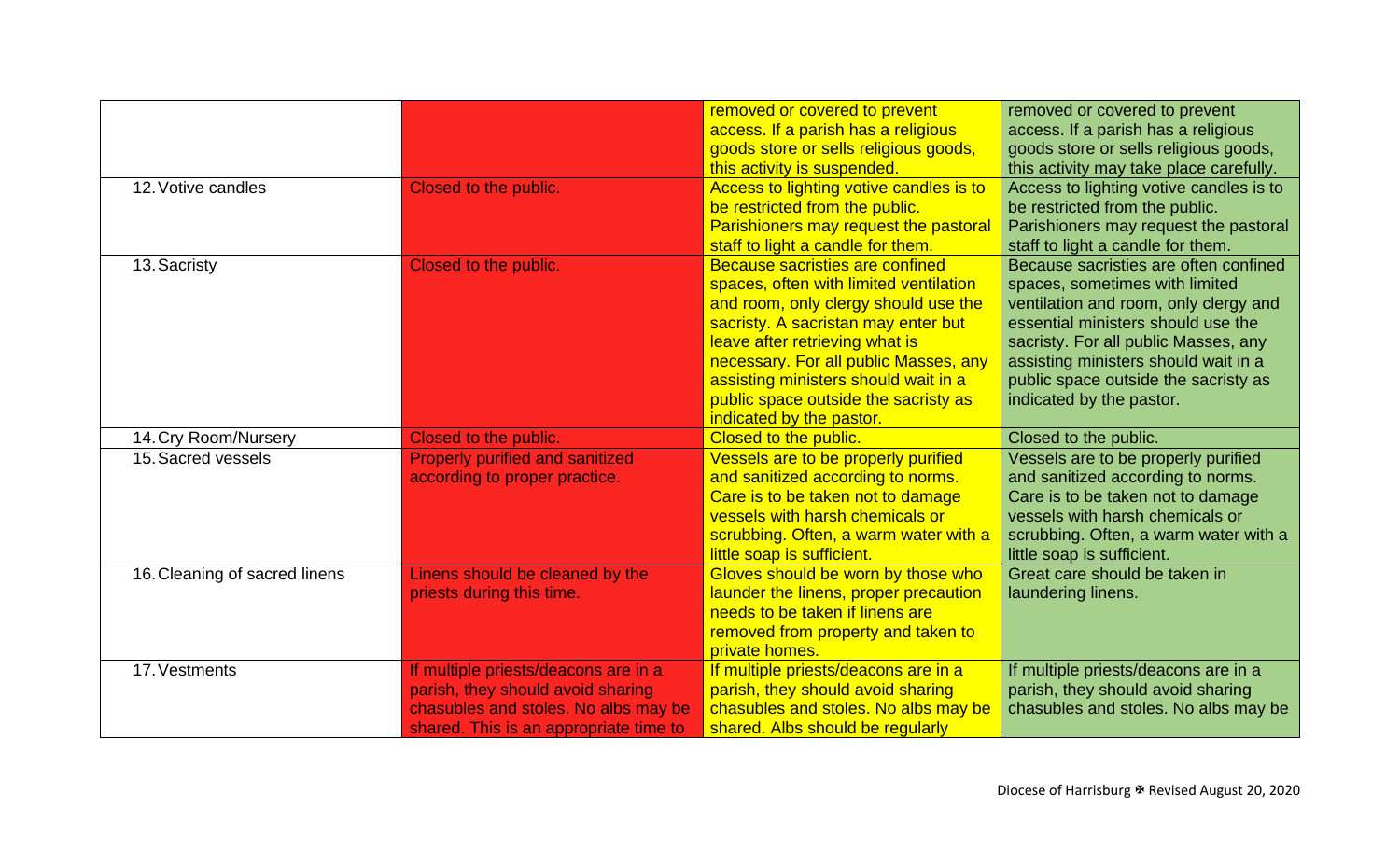|                               |                                        | removed or covered to prevent           | removed or covered to prevent           |
|-------------------------------|----------------------------------------|-----------------------------------------|-----------------------------------------|
|                               |                                        | access. If a parish has a religious     | access. If a parish has a religious     |
|                               |                                        | goods store or sells religious goods,   | goods store or sells religious goods,   |
|                               |                                        | this activity is suspended.             | this activity may take place carefully. |
| 12. Votive candles            | Closed to the public.                  | Access to lighting votive candles is to | Access to lighting votive candles is to |
|                               |                                        | be restricted from the public.          | be restricted from the public.          |
|                               |                                        | Parishioners may request the pastoral   | Parishioners may request the pastoral   |
|                               |                                        | staff to light a candle for them.       | staff to light a candle for them.       |
| 13. Sacristy                  | Closed to the public.                  | Because sacristies are confined         | Because sacristies are often confined   |
|                               |                                        | spaces, often with limited ventilation  | spaces, sometimes with limited          |
|                               |                                        | and room, only clergy should use the    | ventilation and room, only clergy and   |
|                               |                                        | sacristy. A sacristan may enter but     | essential ministers should use the      |
|                               |                                        | leave after retrieving what is          | sacristy. For all public Masses, any    |
|                               |                                        | necessary. For all public Masses, any   | assisting ministers should wait in a    |
|                               |                                        | assisting ministers should wait in a    | public space outside the sacristy as    |
|                               |                                        | public space outside the sacristy as    | indicated by the pastor.                |
|                               |                                        | indicated by the pastor.                |                                         |
| 14. Cry Room/Nursery          | Closed to the public.                  | Closed to the public.                   | Closed to the public.                   |
| 15. Sacred vessels            | <b>Properly purified and sanitized</b> | Vessels are to be properly purified     | Vessels are to be properly purified     |
|                               | according to proper practice.          | and sanitized according to norms.       | and sanitized according to norms.       |
|                               |                                        | Care is to be taken not to damage       | Care is to be taken not to damage       |
|                               |                                        | vessels with harsh chemicals or         | vessels with harsh chemicals or         |
|                               |                                        | scrubbing. Often, a warm water with a   | scrubbing. Often, a warm water with a   |
|                               |                                        | little soap is sufficient.              | little soap is sufficient.              |
| 16. Cleaning of sacred linens | Linens should be cleaned by the        | Gloves should be worn by those who      | Great care should be taken in           |
|                               | priests during this time.              | launder the linens, proper precaution   | laundering linens.                      |
|                               |                                        | needs to be taken if linens are         |                                         |
|                               |                                        | removed from property and taken to      |                                         |
|                               |                                        | private homes.                          |                                         |
| 17. Vestments                 | If multiple priests/deacons are in a   | If multiple priests/deacons are in a    | If multiple priests/deacons are in a    |
|                               | parish, they should avoid sharing      | parish, they should avoid sharing       | parish, they should avoid sharing       |
|                               | chasubles and stoles. No albs may be   | chasubles and stoles. No albs may be    | chasubles and stoles. No albs may be    |
|                               | shared. This is an appropriate time to | shared. Albs should be regularly        |                                         |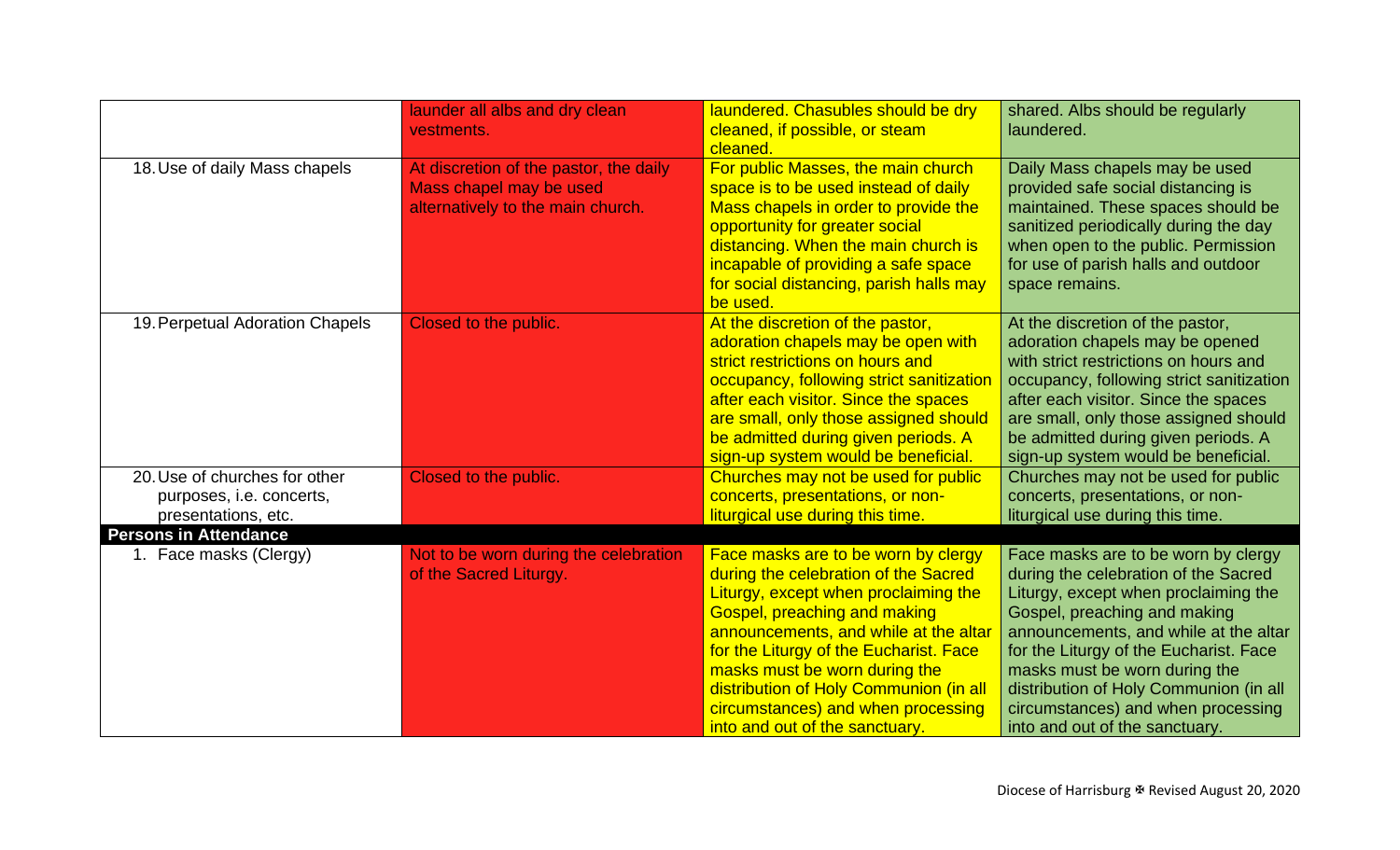|                                                                                  | launder all albs and dry clean<br>vestments.                                                           | laundered. Chasubles should be dry<br>cleaned, if possible, or steam<br>cleaned.                                                                                                                                                                                                                                                                                                          | shared. Albs should be regularly<br>laundered.                                                                                                                                                                                                                                                                                                                                            |
|----------------------------------------------------------------------------------|--------------------------------------------------------------------------------------------------------|-------------------------------------------------------------------------------------------------------------------------------------------------------------------------------------------------------------------------------------------------------------------------------------------------------------------------------------------------------------------------------------------|-------------------------------------------------------------------------------------------------------------------------------------------------------------------------------------------------------------------------------------------------------------------------------------------------------------------------------------------------------------------------------------------|
| 18. Use of daily Mass chapels                                                    | At discretion of the pastor, the daily<br>Mass chapel may be used<br>alternatively to the main church. | For public Masses, the main church<br>space is to be used instead of daily<br>Mass chapels in order to provide the<br>opportunity for greater social<br>distancing. When the main church is<br>incapable of providing a safe space<br>for social distancing, parish halls may<br>be used.                                                                                                 | Daily Mass chapels may be used<br>provided safe social distancing is<br>maintained. These spaces should be<br>sanitized periodically during the day<br>when open to the public. Permission<br>for use of parish halls and outdoor<br>space remains.                                                                                                                                       |
| 19. Perpetual Adoration Chapels                                                  | Closed to the public.                                                                                  | At the discretion of the pastor,<br>adoration chapels may be open with<br>strict restrictions on hours and<br>occupancy, following strict sanitization<br>after each visitor. Since the spaces<br>are small, only those assigned should<br>be admitted during given periods. A<br>sign-up system would be beneficial.                                                                     | At the discretion of the pastor,<br>adoration chapels may be opened<br>with strict restrictions on hours and<br>occupancy, following strict sanitization<br>after each visitor. Since the spaces<br>are small, only those assigned should<br>be admitted during given periods. A<br>sign-up system would be beneficial.                                                                   |
| 20. Use of churches for other<br>purposes, i.e. concerts,<br>presentations, etc. | Closed to the public.                                                                                  | Churches may not be used for public<br>concerts, presentations, or non-<br>liturgical use during this time.                                                                                                                                                                                                                                                                               | Churches may not be used for public<br>concerts, presentations, or non-<br>liturgical use during this time.                                                                                                                                                                                                                                                                               |
| <b>Persons in Attendance</b>                                                     |                                                                                                        |                                                                                                                                                                                                                                                                                                                                                                                           |                                                                                                                                                                                                                                                                                                                                                                                           |
| 1. Face masks (Clergy)                                                           | Not to be worn during the celebration<br>of the Sacred Liturgy.                                        | Face masks are to be worn by clergy<br>during the celebration of the Sacred<br>Liturgy, except when proclaiming the<br>Gospel, preaching and making<br>announcements, and while at the altar<br>for the Liturgy of the Eucharist. Face<br>masks must be worn during the<br>distribution of Holy Communion (in all<br>circumstances) and when processing<br>into and out of the sanctuary. | Face masks are to be worn by clergy<br>during the celebration of the Sacred<br>Liturgy, except when proclaiming the<br>Gospel, preaching and making<br>announcements, and while at the altar<br>for the Liturgy of the Eucharist. Face<br>masks must be worn during the<br>distribution of Holy Communion (in all<br>circumstances) and when processing<br>into and out of the sanctuary. |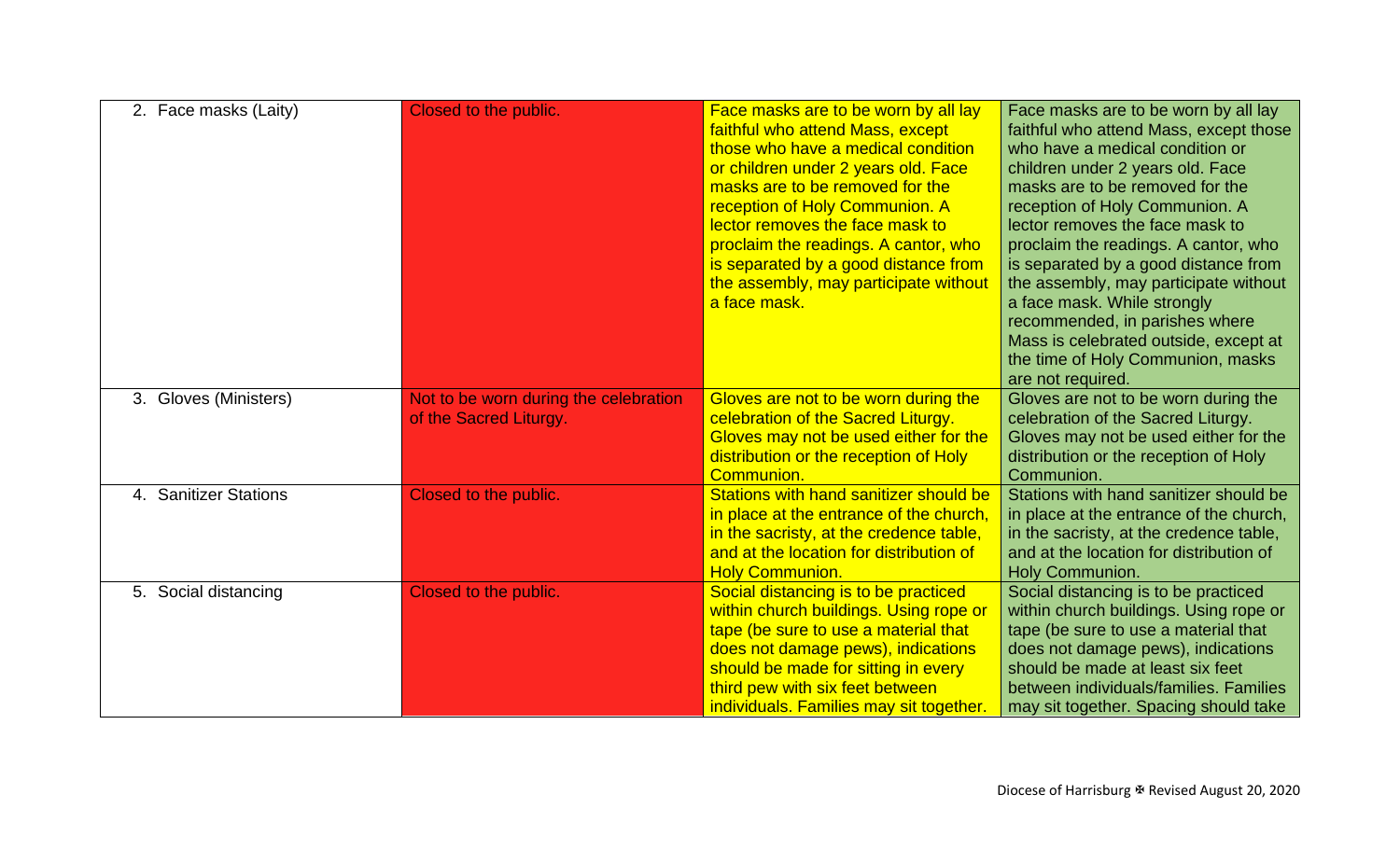| 2. Face masks (Laity) | Closed to the public.                                           | Face masks are to be worn by all lay<br>faithful who attend Mass, except<br>those who have a medical condition<br>or children under 2 years old. Face<br>masks are to be removed for the<br>reception of Holy Communion. A<br>lector removes the face mask to<br>proclaim the readings. A cantor, who<br>is separated by a good distance from<br>the assembly, may participate without<br>a face mask. | Face masks are to be worn by all lay<br>faithful who attend Mass, except those<br>who have a medical condition or<br>children under 2 years old. Face<br>masks are to be removed for the<br>reception of Holy Communion. A<br>lector removes the face mask to<br>proclaim the readings. A cantor, who<br>is separated by a good distance from<br>the assembly, may participate without<br>a face mask. While strongly<br>recommended, in parishes where<br>Mass is celebrated outside, except at<br>the time of Holy Communion, masks<br>are not required. |
|-----------------------|-----------------------------------------------------------------|--------------------------------------------------------------------------------------------------------------------------------------------------------------------------------------------------------------------------------------------------------------------------------------------------------------------------------------------------------------------------------------------------------|------------------------------------------------------------------------------------------------------------------------------------------------------------------------------------------------------------------------------------------------------------------------------------------------------------------------------------------------------------------------------------------------------------------------------------------------------------------------------------------------------------------------------------------------------------|
| 3. Gloves (Ministers) | Not to be worn during the celebration<br>of the Sacred Liturgy. | Gloves are not to be worn during the<br>celebration of the Sacred Liturgy.<br>Gloves may not be used either for the<br>distribution or the reception of Holy<br>Communion.                                                                                                                                                                                                                             | Gloves are not to be worn during the<br>celebration of the Sacred Liturgy.<br>Gloves may not be used either for the<br>distribution or the reception of Holy<br>Communion.                                                                                                                                                                                                                                                                                                                                                                                 |
| 4. Sanitizer Stations | Closed to the public.                                           | Stations with hand sanitizer should be<br>in place at the entrance of the church,<br>in the sacristy, at the credence table,<br>and at the location for distribution of<br><b>Holy Communion.</b>                                                                                                                                                                                                      | Stations with hand sanitizer should be<br>in place at the entrance of the church,<br>in the sacristy, at the credence table,<br>and at the location for distribution of<br>Holy Communion.                                                                                                                                                                                                                                                                                                                                                                 |
| 5. Social distancing  | Closed to the public.                                           | Social distancing is to be practiced<br>within church buildings. Using rope or<br>tape (be sure to use a material that<br>does not damage pews), indications<br>should be made for sitting in every<br>third pew with six feet between<br>individuals. Families may sit together.                                                                                                                      | Social distancing is to be practiced<br>within church buildings. Using rope or<br>tape (be sure to use a material that<br>does not damage pews), indications<br>should be made at least six feet<br>between individuals/families. Families<br>may sit together. Spacing should take                                                                                                                                                                                                                                                                        |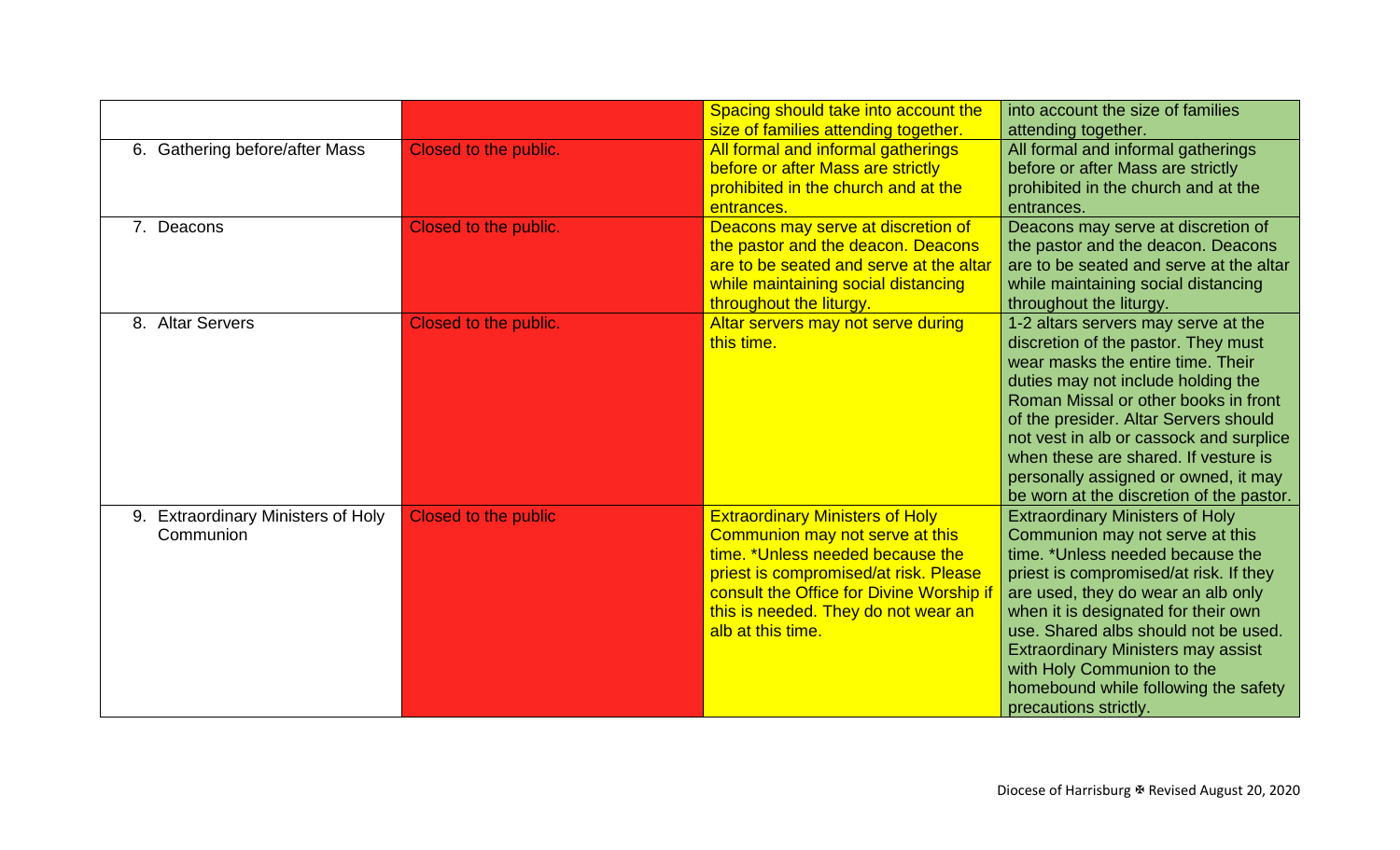|                                                           |                       | Spacing should take into account the<br>size of families attending together.                                                                                                                                                                                   | into account the size of families<br>attending together.                                                                                                                                                                                                                                                                                                                                                                 |
|-----------------------------------------------------------|-----------------------|----------------------------------------------------------------------------------------------------------------------------------------------------------------------------------------------------------------------------------------------------------------|--------------------------------------------------------------------------------------------------------------------------------------------------------------------------------------------------------------------------------------------------------------------------------------------------------------------------------------------------------------------------------------------------------------------------|
| 6. Gathering before/after Mass                            | Closed to the public. | All formal and informal gatherings<br>before or after Mass are strictly<br>prohibited in the church and at the<br>entrances.                                                                                                                                   | All formal and informal gatherings<br>before or after Mass are strictly<br>prohibited in the church and at the<br>entrances.                                                                                                                                                                                                                                                                                             |
| 7. Deacons                                                | Closed to the public. | Deacons may serve at discretion of<br>the pastor and the deacon. Deacons<br>are to be seated and serve at the altar<br>while maintaining social distancing<br>throughout the liturgy.                                                                          | Deacons may serve at discretion of<br>the pastor and the deacon. Deacons<br>are to be seated and serve at the altar<br>while maintaining social distancing<br>throughout the liturgy.                                                                                                                                                                                                                                    |
| 8. Altar Servers                                          | Closed to the public. | Altar servers may not serve during<br>this time.                                                                                                                                                                                                               | 1-2 altars servers may serve at the<br>discretion of the pastor. They must<br>wear masks the entire time. Their<br>duties may not include holding the<br>Roman Missal or other books in front<br>of the presider. Altar Servers should<br>not vest in alb or cassock and surplice<br>when these are shared. If vesture is<br>personally assigned or owned, it may<br>be worn at the discretion of the pastor.            |
| <b>Extraordinary Ministers of Holy</b><br>9.<br>Communion | Closed to the public  | <b>Extraordinary Ministers of Holy</b><br>Communion may not serve at this<br>time. *Unless needed because the<br>priest is compromised/at risk. Please<br>consult the Office for Divine Worship if<br>this is needed. They do not wear an<br>alb at this time. | <b>Extraordinary Ministers of Holy</b><br>Communion may not serve at this<br>time. *Unless needed because the<br>priest is compromised/at risk. If they<br>are used, they do wear an alb only<br>when it is designated for their own<br>use. Shared albs should not be used.<br><b>Extraordinary Ministers may assist</b><br>with Holy Communion to the<br>homebound while following the safety<br>precautions strictly. |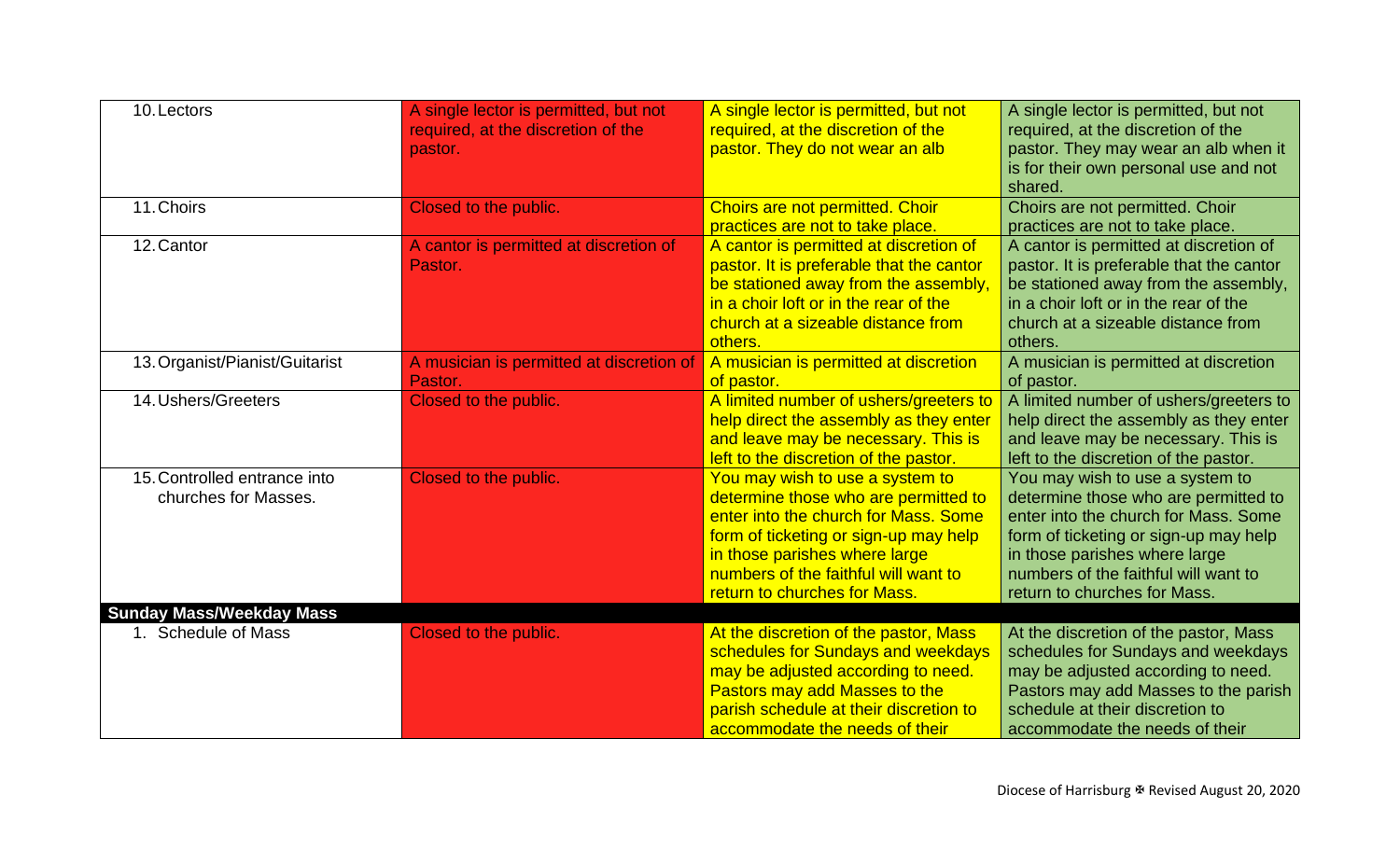| 10. Lectors                     | A single lector is permitted, but not<br>required, at the discretion of the | A single lector is permitted, but not<br>required, at the discretion of the | A single lector is permitted, but not<br>required, at the discretion of the |
|---------------------------------|-----------------------------------------------------------------------------|-----------------------------------------------------------------------------|-----------------------------------------------------------------------------|
|                                 | pastor.                                                                     | pastor. They do not wear an alb                                             | pastor. They may wear an alb when it                                        |
|                                 |                                                                             |                                                                             | is for their own personal use and not                                       |
|                                 |                                                                             |                                                                             | shared.                                                                     |
| 11. Choirs                      | Closed to the public.                                                       | <b>Choirs are not permitted. Choir</b>                                      | Choirs are not permitted. Choir                                             |
|                                 |                                                                             | practices are not to take place.                                            | practices are not to take place.                                            |
| 12. Cantor                      | A cantor is permitted at discretion of                                      | A cantor is permitted at discretion of                                      | A cantor is permitted at discretion of                                      |
|                                 | Pastor.                                                                     | pastor. It is preferable that the cantor                                    | pastor. It is preferable that the cantor                                    |
|                                 |                                                                             | be stationed away from the assembly,                                        | be stationed away from the assembly,                                        |
|                                 |                                                                             | in a choir loft or in the rear of the                                       | in a choir loft or in the rear of the                                       |
|                                 |                                                                             | church at a sizeable distance from                                          | church at a sizeable distance from                                          |
|                                 |                                                                             | others.                                                                     | others.                                                                     |
| 13. Organist/Pianist/Guitarist  | A musician is permitted at discretion of                                    | A musician is permitted at discretion                                       | A musician is permitted at discretion                                       |
|                                 | Pastor.                                                                     | of pastor.                                                                  | of pastor.                                                                  |
| 14. Ushers/Greeters             | Closed to the public.                                                       | A limited number of ushers/greeters to                                      | A limited number of ushers/greeters to                                      |
|                                 |                                                                             | help direct the assembly as they enter                                      | help direct the assembly as they enter                                      |
|                                 |                                                                             | and leave may be necessary. This is                                         | and leave may be necessary. This is                                         |
|                                 |                                                                             | left to the discretion of the pastor.                                       | left to the discretion of the pastor.                                       |
| 15. Controlled entrance into    | Closed to the public.                                                       | You may wish to use a system to                                             | You may wish to use a system to                                             |
| churches for Masses.            |                                                                             | determine those who are permitted to                                        | determine those who are permitted to                                        |
|                                 |                                                                             | enter into the church for Mass. Some                                        | enter into the church for Mass. Some                                        |
|                                 |                                                                             | form of ticketing or sign-up may help                                       | form of ticketing or sign-up may help                                       |
|                                 |                                                                             | in those parishes where large                                               | in those parishes where large                                               |
|                                 |                                                                             | numbers of the faithful will want to                                        | numbers of the faithful will want to                                        |
|                                 |                                                                             | return to churches for Mass.                                                | return to churches for Mass.                                                |
| <b>Sunday Mass/Weekday Mass</b> |                                                                             |                                                                             |                                                                             |
| 1. Schedule of Mass             | Closed to the public.                                                       | At the discretion of the pastor, Mass                                       | At the discretion of the pastor, Mass                                       |
|                                 |                                                                             | schedules for Sundays and weekdays                                          | schedules for Sundays and weekdays                                          |
|                                 |                                                                             | may be adjusted according to need.                                          | may be adjusted according to need.                                          |
|                                 |                                                                             | Pastors may add Masses to the                                               | Pastors may add Masses to the parish                                        |
|                                 |                                                                             | parish schedule at their discretion to                                      | schedule at their discretion to                                             |
|                                 |                                                                             | accommodate the needs of their                                              | accommodate the needs of their                                              |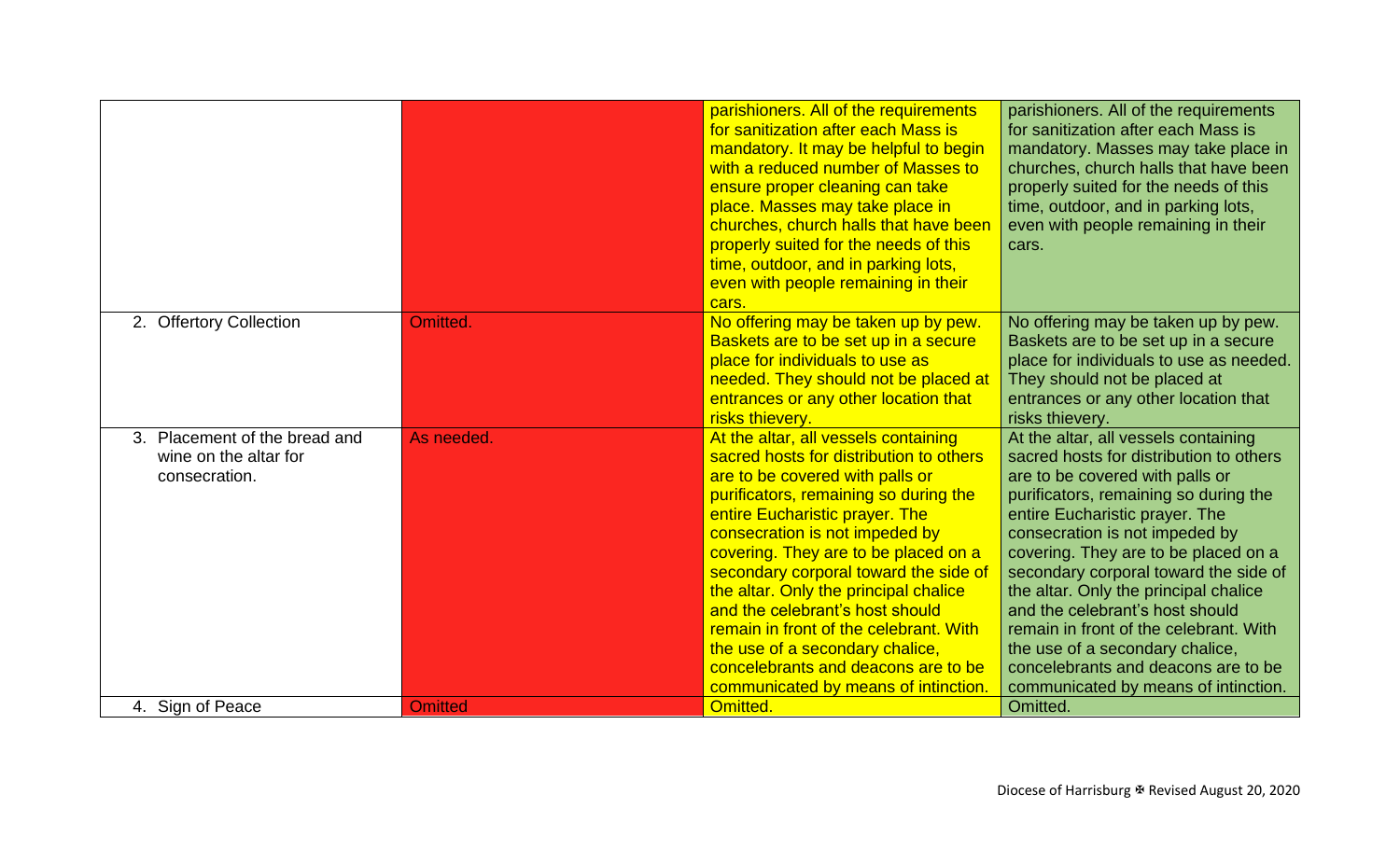|                                                                         |                | parishioners. All of the requirements<br>for sanitization after each Mass is<br>mandatory. It may be helpful to begin<br>with a reduced number of Masses to<br>ensure proper cleaning can take<br>place. Masses may take place in<br>churches, church halls that have been<br>properly suited for the needs of this<br>time, outdoor, and in parking lots,<br>even with people remaining in their<br>cars.                                                                                                                                              | parishioners. All of the requirements<br>for sanitization after each Mass is<br>mandatory. Masses may take place in<br>churches, church halls that have been<br>properly suited for the needs of this<br>time, outdoor, and in parking lots,<br>even with people remaining in their<br>cars.                                                                                                                                                                                                                                                             |
|-------------------------------------------------------------------------|----------------|---------------------------------------------------------------------------------------------------------------------------------------------------------------------------------------------------------------------------------------------------------------------------------------------------------------------------------------------------------------------------------------------------------------------------------------------------------------------------------------------------------------------------------------------------------|----------------------------------------------------------------------------------------------------------------------------------------------------------------------------------------------------------------------------------------------------------------------------------------------------------------------------------------------------------------------------------------------------------------------------------------------------------------------------------------------------------------------------------------------------------|
| 2. Offertory Collection                                                 | Omitted.       | No offering may be taken up by pew.<br>Baskets are to be set up in a secure<br>place for individuals to use as<br>needed. They should not be placed at<br>entrances or any other location that<br>risks thievery.                                                                                                                                                                                                                                                                                                                                       | No offering may be taken up by pew.<br>Baskets are to be set up in a secure<br>place for individuals to use as needed.<br>They should not be placed at<br>entrances or any other location that<br>risks thievery.                                                                                                                                                                                                                                                                                                                                        |
| 3. Placement of the bread and<br>wine on the altar for<br>consecration. | As needed.     | At the altar, all vessels containing<br>sacred hosts for distribution to others<br>are to be covered with palls or<br>purificators, remaining so during the<br>entire Eucharistic prayer. The<br>consecration is not impeded by<br>covering. They are to be placed on a<br>secondary corporal toward the side of<br>the altar. Only the principal chalice<br>and the celebrant's host should<br>remain in front of the celebrant. With<br>the use of a secondary chalice,<br>concelebrants and deacons are to be<br>communicated by means of intinction | At the altar, all vessels containing<br>sacred hosts for distribution to others<br>are to be covered with palls or<br>purificators, remaining so during the<br>entire Eucharistic prayer. The<br>consecration is not impeded by<br>covering. They are to be placed on a<br>secondary corporal toward the side of<br>the altar. Only the principal chalice<br>and the celebrant's host should<br>remain in front of the celebrant. With<br>the use of a secondary chalice,<br>concelebrants and deacons are to be<br>communicated by means of intinction. |
| 4. Sign of Peace                                                        | <b>Omitted</b> | Omitted.                                                                                                                                                                                                                                                                                                                                                                                                                                                                                                                                                | Omitted.                                                                                                                                                                                                                                                                                                                                                                                                                                                                                                                                                 |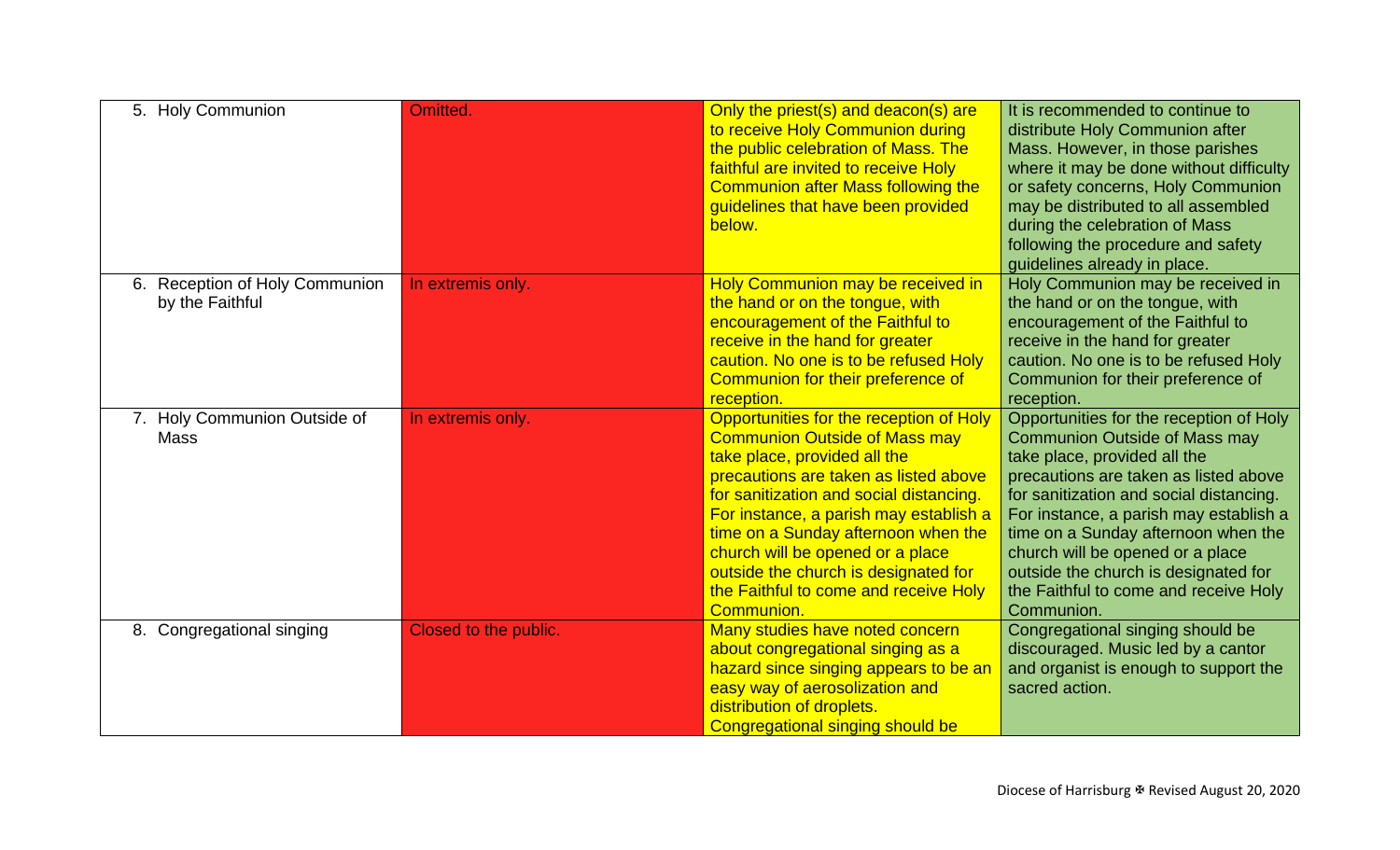| 5. Holy Communion                                 | <b>Omitted</b>        | Only the priest(s) and deacon(s) are<br>to receive Holy Communion during<br>the public celebration of Mass. The<br>faithful are invited to receive Holy<br><b>Communion after Mass following the</b><br>guidelines that have been provided<br>below.                                                                                                                                                                    | It is recommended to continue to<br>distribute Holy Communion after<br>Mass. However, in those parishes<br>where it may be done without difficulty<br>or safety concerns, Holy Communion<br>may be distributed to all assembled<br>during the celebration of Mass<br>following the procedure and safety<br>guidelines already in place.                                                                                 |
|---------------------------------------------------|-----------------------|-------------------------------------------------------------------------------------------------------------------------------------------------------------------------------------------------------------------------------------------------------------------------------------------------------------------------------------------------------------------------------------------------------------------------|-------------------------------------------------------------------------------------------------------------------------------------------------------------------------------------------------------------------------------------------------------------------------------------------------------------------------------------------------------------------------------------------------------------------------|
| 6. Reception of Holy Communion<br>by the Faithful | In extremis only.     | Holy Communion may be received in<br>the hand or on the tongue, with<br>encouragement of the Faithful to<br>receive in the hand for greater<br>caution. No one is to be refused Holy<br>Communion for their preference of<br>reception.                                                                                                                                                                                 | Holy Communion may be received in<br>the hand or on the tongue, with<br>encouragement of the Faithful to<br>receive in the hand for greater<br>caution. No one is to be refused Holy<br>Communion for their preference of<br>reception.                                                                                                                                                                                 |
| 7. Holy Communion Outside of<br><b>Mass</b>       | In extremis only.     | Opportunities for the reception of Holy<br><b>Communion Outside of Mass may</b><br>take place, provided all the<br>precautions are taken as listed above<br>for sanitization and social distancing.<br>For instance, a parish may establish a<br>time on a Sunday afternoon when the<br>church will be opened or a place<br>outside the church is designated for<br>the Faithful to come and receive Holy<br>Communion. | Opportunities for the reception of Holy<br><b>Communion Outside of Mass may</b><br>take place, provided all the<br>precautions are taken as listed above<br>for sanitization and social distancing.<br>For instance, a parish may establish a<br>time on a Sunday afternoon when the<br>church will be opened or a place<br>outside the church is designated for<br>the Faithful to come and receive Holy<br>Communion. |
| 8. Congregational singing                         | Closed to the public. | Many studies have noted concern<br>about congregational singing as a<br>hazard since singing appears to be an<br>easy way of aerosolization and<br>distribution of droplets.<br>Congregational singing should be                                                                                                                                                                                                        | Congregational singing should be<br>discouraged. Music led by a cantor<br>and organist is enough to support the<br>sacred action.                                                                                                                                                                                                                                                                                       |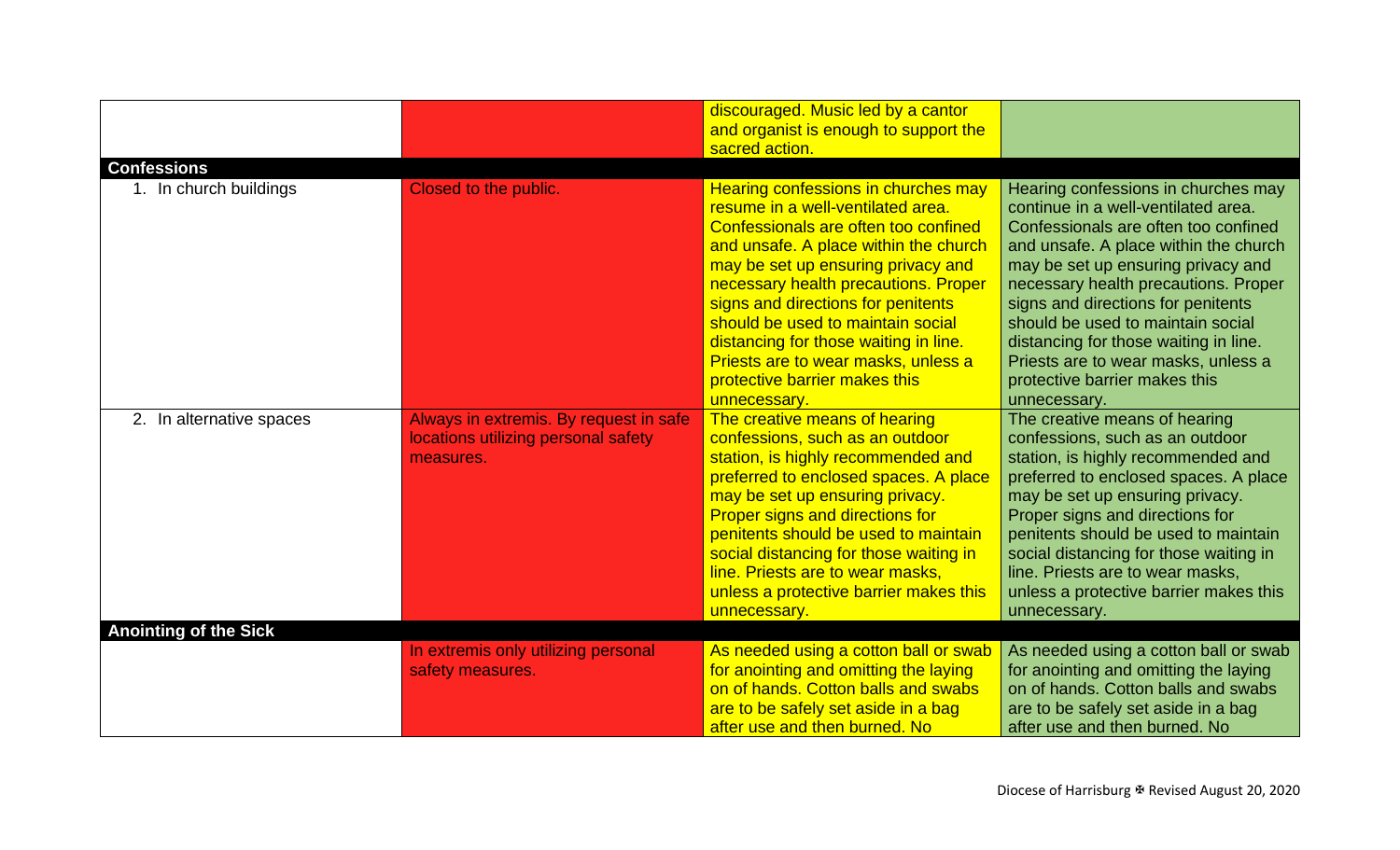|                              |                                                                                            | discouraged. Music led by a cantor<br>and organist is enough to support the<br>sacred action.                                                                                                                                                                                                                                                                                                                                                       |                                                                                                                                                                                                                                                                                                                                                                                                                                                       |
|------------------------------|--------------------------------------------------------------------------------------------|-----------------------------------------------------------------------------------------------------------------------------------------------------------------------------------------------------------------------------------------------------------------------------------------------------------------------------------------------------------------------------------------------------------------------------------------------------|-------------------------------------------------------------------------------------------------------------------------------------------------------------------------------------------------------------------------------------------------------------------------------------------------------------------------------------------------------------------------------------------------------------------------------------------------------|
| <b>Confessions</b>           |                                                                                            |                                                                                                                                                                                                                                                                                                                                                                                                                                                     |                                                                                                                                                                                                                                                                                                                                                                                                                                                       |
| 1. In church buildings       | Closed to the public.                                                                      | Hearing confessions in churches may<br>resume in a well-ventilated area.<br>Confessionals are often too confined<br>and unsafe. A place within the church<br>may be set up ensuring privacy and<br>necessary health precautions. Proper<br>signs and directions for penitents<br>should be used to maintain social<br>distancing for those waiting in line.<br>Priests are to wear masks, unless a<br>protective barrier makes this<br>unnecessary. | Hearing confessions in churches may<br>continue in a well-ventilated area.<br>Confessionals are often too confined<br>and unsafe. A place within the church<br>may be set up ensuring privacy and<br>necessary health precautions. Proper<br>signs and directions for penitents<br>should be used to maintain social<br>distancing for those waiting in line.<br>Priests are to wear masks, unless a<br>protective barrier makes this<br>unnecessary. |
| 2. In alternative spaces     | Always in extremis. By request in safe<br>locations utilizing personal safety<br>measures. | The creative means of hearing<br>confessions, such as an outdoor<br>station, is highly recommended and<br>preferred to enclosed spaces. A place<br>may be set up ensuring privacy.<br><b>Proper signs and directions for</b><br>penitents should be used to maintain<br>social distancing for those waiting in<br>line. Priests are to wear masks,<br>unless a protective barrier makes this<br>unnecessary.                                        | The creative means of hearing<br>confessions, such as an outdoor<br>station, is highly recommended and<br>preferred to enclosed spaces. A place<br>may be set up ensuring privacy.<br>Proper signs and directions for<br>penitents should be used to maintain<br>social distancing for those waiting in<br>line. Priests are to wear masks,<br>unless a protective barrier makes this<br>unnecessary.                                                 |
| <b>Anointing of the Sick</b> |                                                                                            |                                                                                                                                                                                                                                                                                                                                                                                                                                                     |                                                                                                                                                                                                                                                                                                                                                                                                                                                       |
|                              | In extremis only utilizing personal<br>safety measures.                                    | As needed using a cotton ball or swab<br>for anointing and omitting the laying<br>on of hands. Cotton balls and swabs<br>are to be safely set aside in a bag<br>after use and then burned. No                                                                                                                                                                                                                                                       | As needed using a cotton ball or swab<br>for anointing and omitting the laying<br>on of hands. Cotton balls and swabs<br>are to be safely set aside in a bag<br>after use and then burned. No                                                                                                                                                                                                                                                         |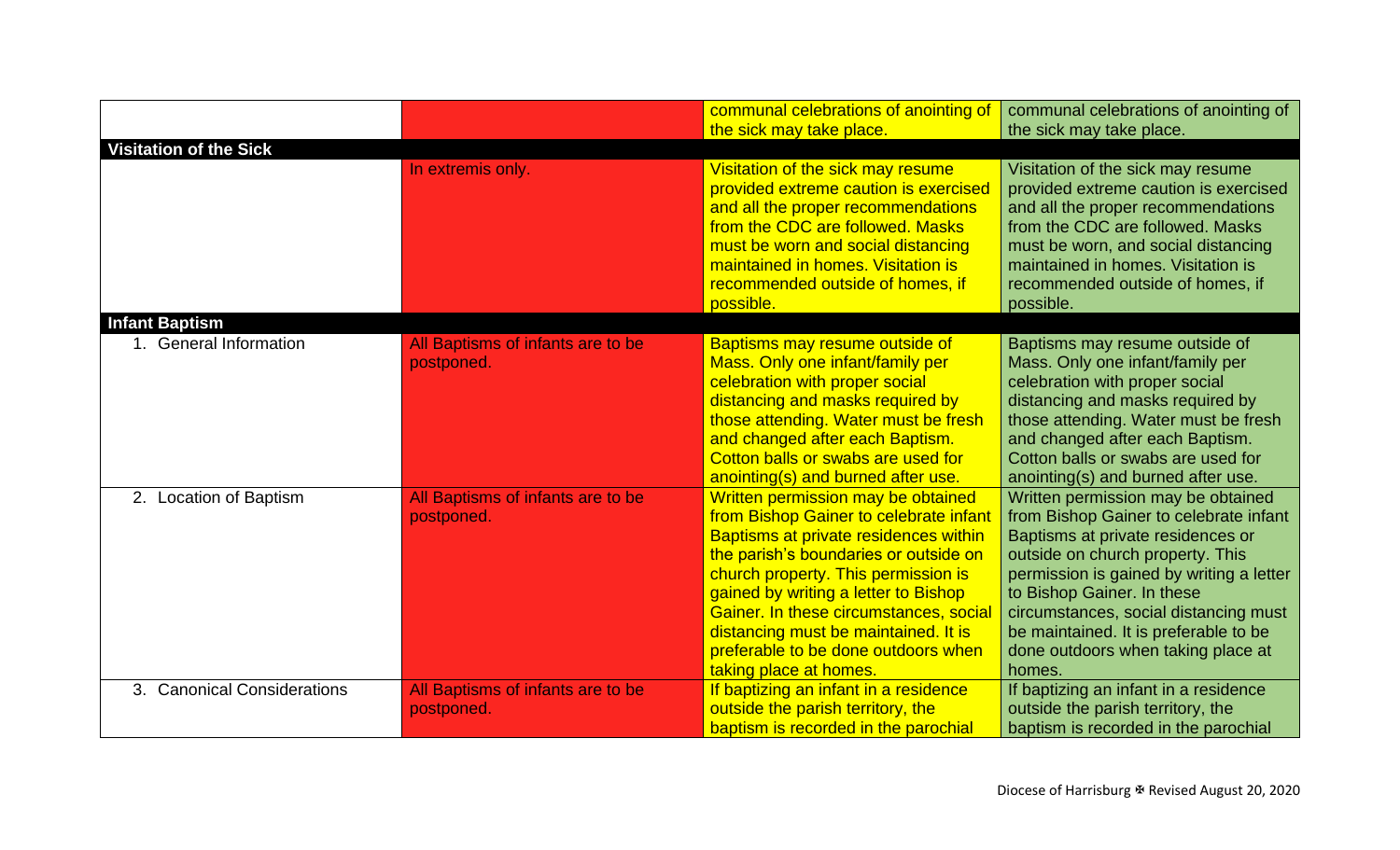|                                                 |                                                 | communal celebrations of anointing of<br>the sick may take place.                                                                                                                                                                                                                                                                                                                                       | communal celebrations of anointing of<br>the sick may take place.                                                                                                                                                                                                                                                                                                 |
|-------------------------------------------------|-------------------------------------------------|---------------------------------------------------------------------------------------------------------------------------------------------------------------------------------------------------------------------------------------------------------------------------------------------------------------------------------------------------------------------------------------------------------|-------------------------------------------------------------------------------------------------------------------------------------------------------------------------------------------------------------------------------------------------------------------------------------------------------------------------------------------------------------------|
| <b>Visitation of the Sick</b>                   | In extremis only.                               | Visitation of the sick may resume<br>provided extreme caution is exercised<br>and all the proper recommendations<br>from the CDC are followed. Masks<br>must be worn and social distancing<br>maintained in homes. Visitation is<br>recommended outside of homes, if<br>possible.                                                                                                                       | Visitation of the sick may resume<br>provided extreme caution is exercised<br>and all the proper recommendations<br>from the CDC are followed. Masks<br>must be worn, and social distancing<br>maintained in homes. Visitation is<br>recommended outside of homes, if<br>possible.                                                                                |
| <b>Infant Baptism</b><br>1. General Information | All Baptisms of infants are to be<br>postponed. | Baptisms may resume outside of<br>Mass. Only one infant/family per<br>celebration with proper social<br>distancing and masks required by<br>those attending. Water must be fresh<br>and changed after each Baptism.<br>Cotton balls or swabs are used for<br>anointing(s) and burned after use.                                                                                                         | Baptisms may resume outside of<br>Mass. Only one infant/family per<br>celebration with proper social<br>distancing and masks required by<br>those attending. Water must be fresh<br>and changed after each Baptism.<br>Cotton balls or swabs are used for<br>anointing(s) and burned after use.                                                                   |
| 2. Location of Baptism                          | All Baptisms of infants are to be<br>postponed. | Written permission may be obtained<br>from Bishop Gainer to celebrate infant<br><b>Baptisms at private residences within</b><br>the parish's boundaries or outside on<br>church property. This permission is<br>gained by writing a letter to Bishop<br>Gainer. In these circumstances, social<br>distancing must be maintained. It is<br>preferable to be done outdoors when<br>taking place at homes. | Written permission may be obtained<br>from Bishop Gainer to celebrate infant<br>Baptisms at private residences or<br>outside on church property. This<br>permission is gained by writing a letter<br>to Bishop Gainer. In these<br>circumstances, social distancing must<br>be maintained. It is preferable to be<br>done outdoors when taking place at<br>homes. |
| 3. Canonical Considerations                     | All Baptisms of infants are to be<br>postponed. | If baptizing an infant in a residence<br>outside the parish territory, the<br>baptism is recorded in the parochial                                                                                                                                                                                                                                                                                      | If baptizing an infant in a residence<br>outside the parish territory, the<br>baptism is recorded in the parochial                                                                                                                                                                                                                                                |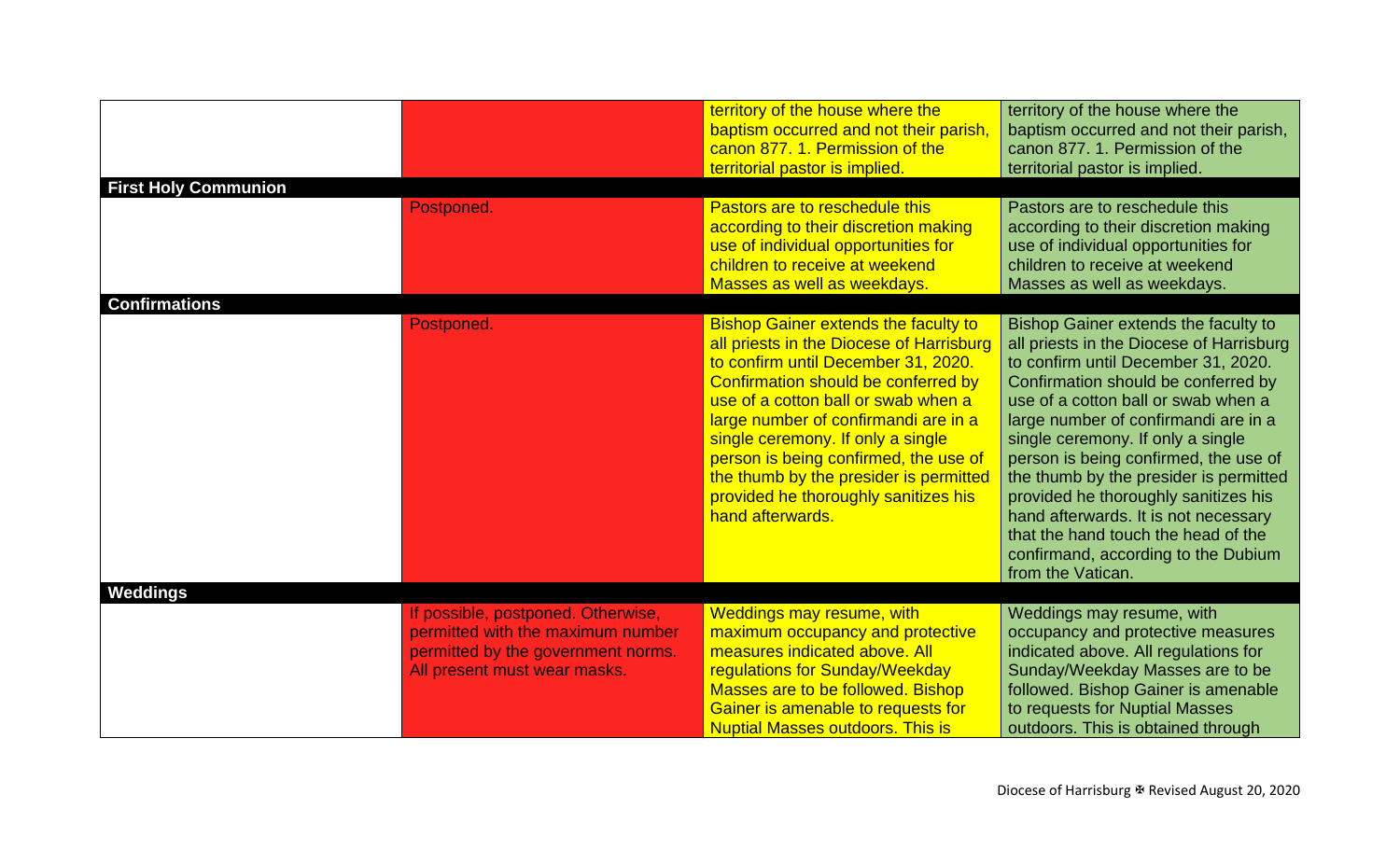|                             |                                                                                                                                               | territory of the house where the<br>baptism occurred and not their parish,<br>canon 877, 1. Permission of the<br>territorial pastor is implied.                                                                                                                                                                                                                                                                                          | territory of the house where the<br>baptism occurred and not their parish,<br>canon 877, 1. Permission of the<br>territorial pastor is implied.                                                                                                                                                                                                                                                                                                                                                                                                                 |
|-----------------------------|-----------------------------------------------------------------------------------------------------------------------------------------------|------------------------------------------------------------------------------------------------------------------------------------------------------------------------------------------------------------------------------------------------------------------------------------------------------------------------------------------------------------------------------------------------------------------------------------------|-----------------------------------------------------------------------------------------------------------------------------------------------------------------------------------------------------------------------------------------------------------------------------------------------------------------------------------------------------------------------------------------------------------------------------------------------------------------------------------------------------------------------------------------------------------------|
| <b>First Holy Communion</b> |                                                                                                                                               |                                                                                                                                                                                                                                                                                                                                                                                                                                          |                                                                                                                                                                                                                                                                                                                                                                                                                                                                                                                                                                 |
|                             | Postponed.                                                                                                                                    | Pastors are to reschedule this<br>according to their discretion making<br>use of individual opportunities for<br>children to receive at weekend<br>Masses as well as weekdays.                                                                                                                                                                                                                                                           | Pastors are to reschedule this<br>according to their discretion making<br>use of individual opportunities for<br>children to receive at weekend<br>Masses as well as weekdays.                                                                                                                                                                                                                                                                                                                                                                                  |
| <b>Confirmations</b>        |                                                                                                                                               |                                                                                                                                                                                                                                                                                                                                                                                                                                          |                                                                                                                                                                                                                                                                                                                                                                                                                                                                                                                                                                 |
|                             | Postponed.                                                                                                                                    | <b>Bishop Gainer extends the faculty to</b><br>all priests in the Diocese of Harrisburg<br>to confirm until December 31, 2020.<br>Confirmation should be conferred by<br>use of a cotton ball or swab when a<br>large number of confirmandi are in a<br>single ceremony. If only a single<br>person is being confirmed, the use of<br>the thumb by the presider is permitted<br>provided he thoroughly sanitizes his<br>hand afterwards. | <b>Bishop Gainer extends the faculty to</b><br>all priests in the Diocese of Harrisburg<br>to confirm until December 31, 2020.<br>Confirmation should be conferred by<br>use of a cotton ball or swab when a<br>large number of confirmandi are in a<br>single ceremony. If only a single<br>person is being confirmed, the use of<br>the thumb by the presider is permitted<br>provided he thoroughly sanitizes his<br>hand afterwards. It is not necessary<br>that the hand touch the head of the<br>confirmand, according to the Dubium<br>from the Vatican. |
| <b>Weddings</b>             |                                                                                                                                               |                                                                                                                                                                                                                                                                                                                                                                                                                                          |                                                                                                                                                                                                                                                                                                                                                                                                                                                                                                                                                                 |
|                             | If possible, postponed. Otherwise,<br>permitted with the maximum number<br>permitted by the government norms.<br>All present must wear masks. | <b>Weddings may resume, with</b><br>maximum occupancy and protective<br>measures indicated above. All<br>regulations for Sunday/Weekday<br>Masses are to be followed. Bishop<br>Gainer is amenable to requests for<br><b>Nuptial Masses outdoors. This is</b>                                                                                                                                                                            | Weddings may resume, with<br>occupancy and protective measures<br>indicated above. All regulations for<br>Sunday/Weekday Masses are to be<br>followed. Bishop Gainer is amenable<br>to requests for Nuptial Masses<br>outdoors. This is obtained through                                                                                                                                                                                                                                                                                                        |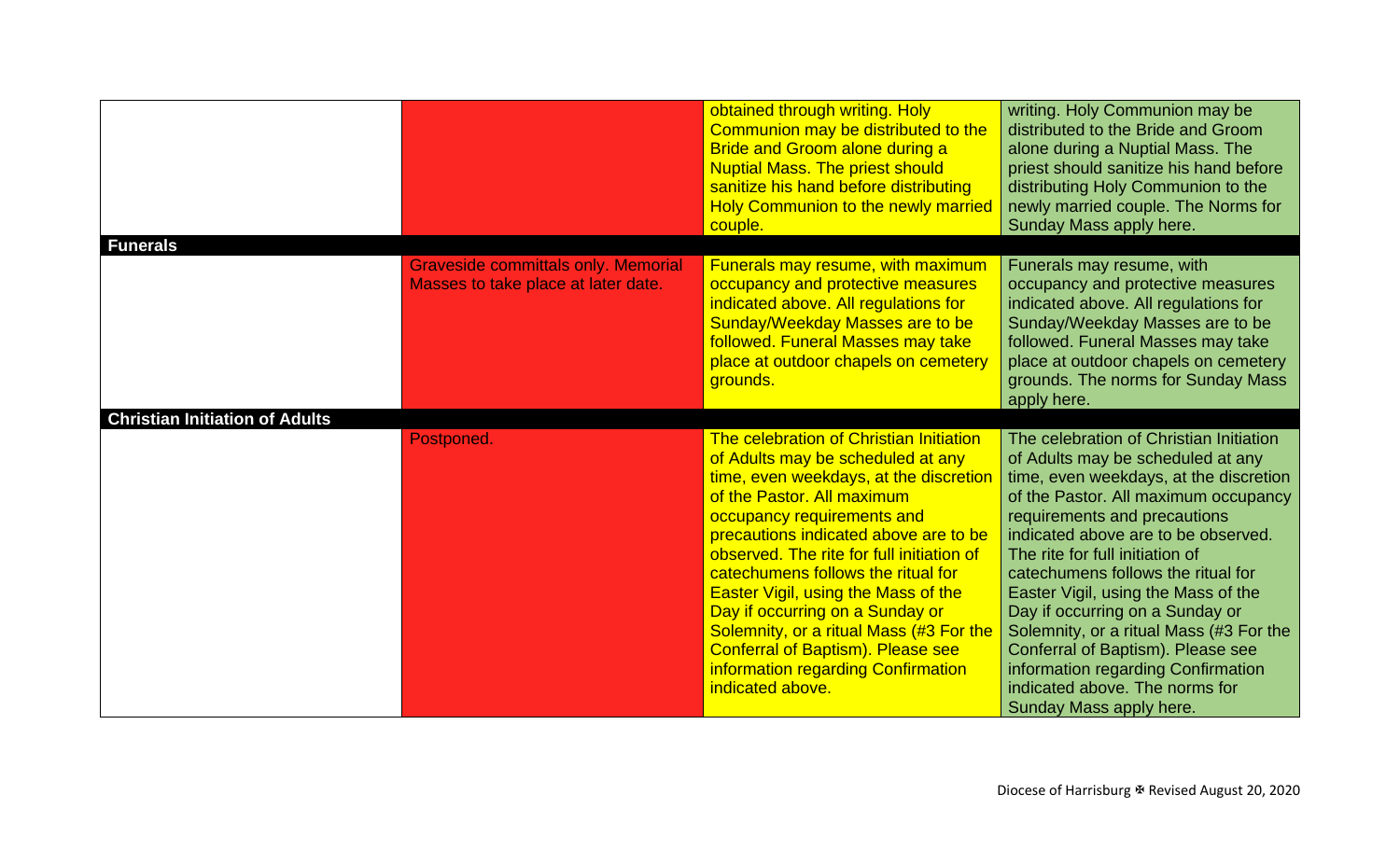|                                       |                                                                                   | obtained through writing. Holy<br>Communion may be distributed to the<br><b>Bride and Groom alone during a</b><br><b>Nuptial Mass. The priest should</b><br>sanitize his hand before distributing<br><b>Holy Communion to the newly married</b><br>couple.                                                                                                                                                                                                                                                                                       | writing. Holy Communion may be<br>distributed to the Bride and Groom<br>alone during a Nuptial Mass. The<br>priest should sanitize his hand before<br>distributing Holy Communion to the<br>newly married couple. The Norms for<br>Sunday Mass apply here.                                                                                                                                                                                                                                                                                                                  |
|---------------------------------------|-----------------------------------------------------------------------------------|--------------------------------------------------------------------------------------------------------------------------------------------------------------------------------------------------------------------------------------------------------------------------------------------------------------------------------------------------------------------------------------------------------------------------------------------------------------------------------------------------------------------------------------------------|-----------------------------------------------------------------------------------------------------------------------------------------------------------------------------------------------------------------------------------------------------------------------------------------------------------------------------------------------------------------------------------------------------------------------------------------------------------------------------------------------------------------------------------------------------------------------------|
| <b>Funerals</b>                       | <b>Graveside committals only. Memorial</b><br>Masses to take place at later date. | Funerals may resume, with maximum<br>occupancy and protective measures<br>indicated above. All regulations for<br><b>Sunday/Weekday Masses are to be</b><br>followed. Funeral Masses may take<br>place at outdoor chapels on cemetery<br>grounds.                                                                                                                                                                                                                                                                                                | Funerals may resume, with<br>occupancy and protective measures<br>indicated above. All regulations for<br>Sunday/Weekday Masses are to be<br>followed. Funeral Masses may take<br>place at outdoor chapels on cemetery<br>grounds. The norms for Sunday Mass<br>apply here.                                                                                                                                                                                                                                                                                                 |
| <b>Christian Initiation of Adults</b> | Postponed.                                                                        | The celebration of Christian Initiation<br>of Adults may be scheduled at any<br>time, even weekdays, at the discretion<br>of the Pastor. All maximum<br>occupancy requirements and<br>precautions indicated above are to be<br>observed. The rite for full initiation of<br>catechumens follows the ritual for<br><b>Easter Vigil, using the Mass of the</b><br>Day if occurring on a Sunday or<br>Solemnity, or a ritual Mass (#3 For the<br><b>Conferral of Baptism). Please see</b><br>information regarding Confirmation<br>indicated above. | The celebration of Christian Initiation<br>of Adults may be scheduled at any<br>time, even weekdays, at the discretion<br>of the Pastor. All maximum occupancy<br>requirements and precautions<br>indicated above are to be observed.<br>The rite for full initiation of<br>catechumens follows the ritual for<br>Easter Vigil, using the Mass of the<br>Day if occurring on a Sunday or<br>Solemnity, or a ritual Mass (#3 For the<br>Conferral of Baptism). Please see<br>information regarding Confirmation<br>indicated above. The norms for<br>Sunday Mass apply here. |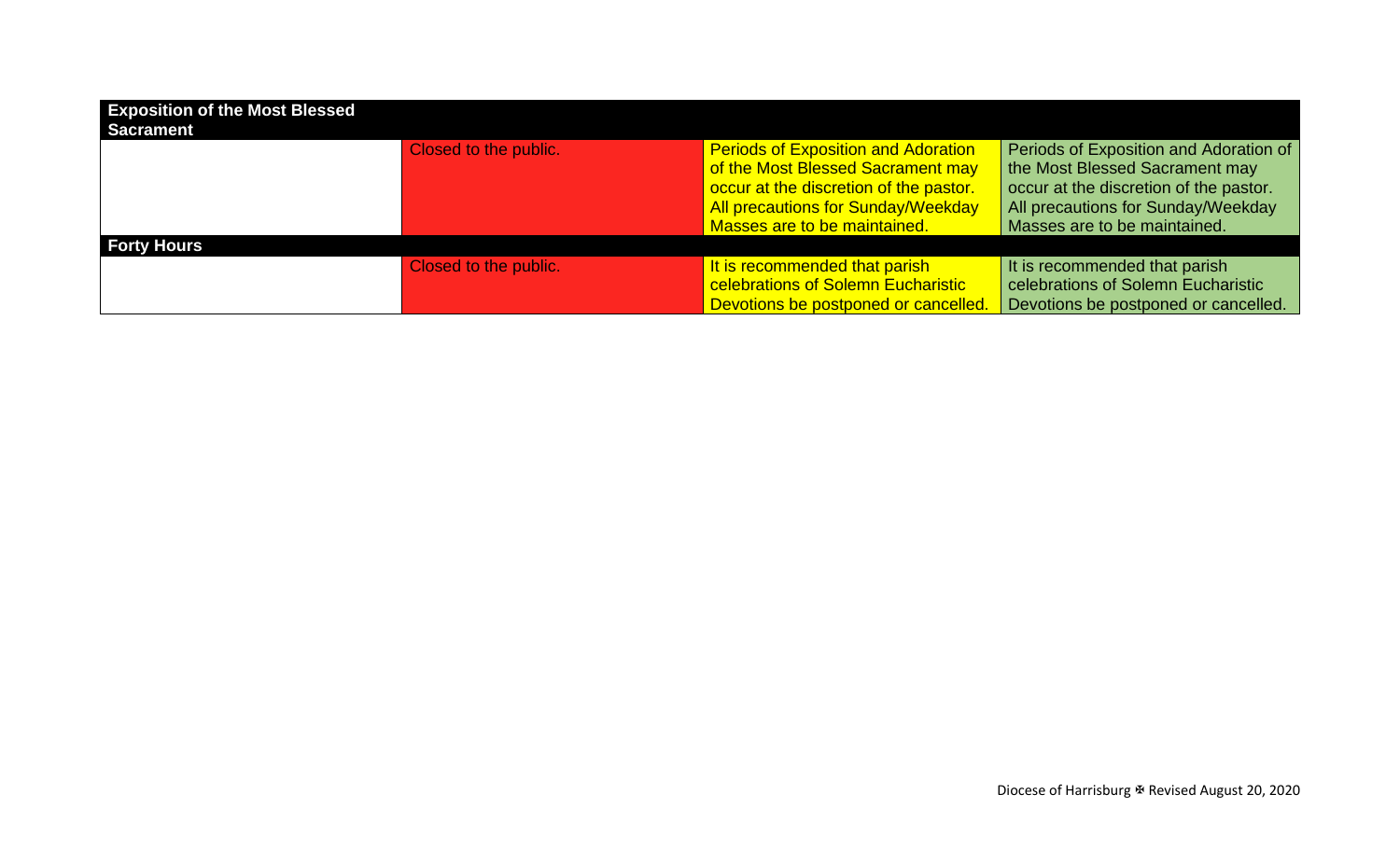| <b>Exposition of the Most Blessed</b><br><b>Sacrament</b> |                       |                                            |                                        |
|-----------------------------------------------------------|-----------------------|--------------------------------------------|----------------------------------------|
|                                                           | Closed to the public. | <b>Periods of Exposition and Adoration</b> | Periods of Exposition and Adoration of |
|                                                           |                       | of the Most Blessed Sacrament may          | the Most Blessed Sacrament may         |
|                                                           |                       | occur at the discretion of the pastor.     | occur at the discretion of the pastor. |
|                                                           |                       | All precautions for Sunday/Weekday         | All precautions for Sunday/Weekday     |
|                                                           |                       | Masses are to be maintained.               | Masses are to be maintained.           |
| <b>Forty Hours</b>                                        |                       |                                            |                                        |
|                                                           | Closed to the public. | It is recommended that parish              | It is recommended that parish          |
|                                                           |                       | celebrations of Solemn Eucharistic         | celebrations of Solemn Eucharistic     |
|                                                           |                       | Devotions be postponed or cancelled.       | Devotions be postponed or cancelled.   |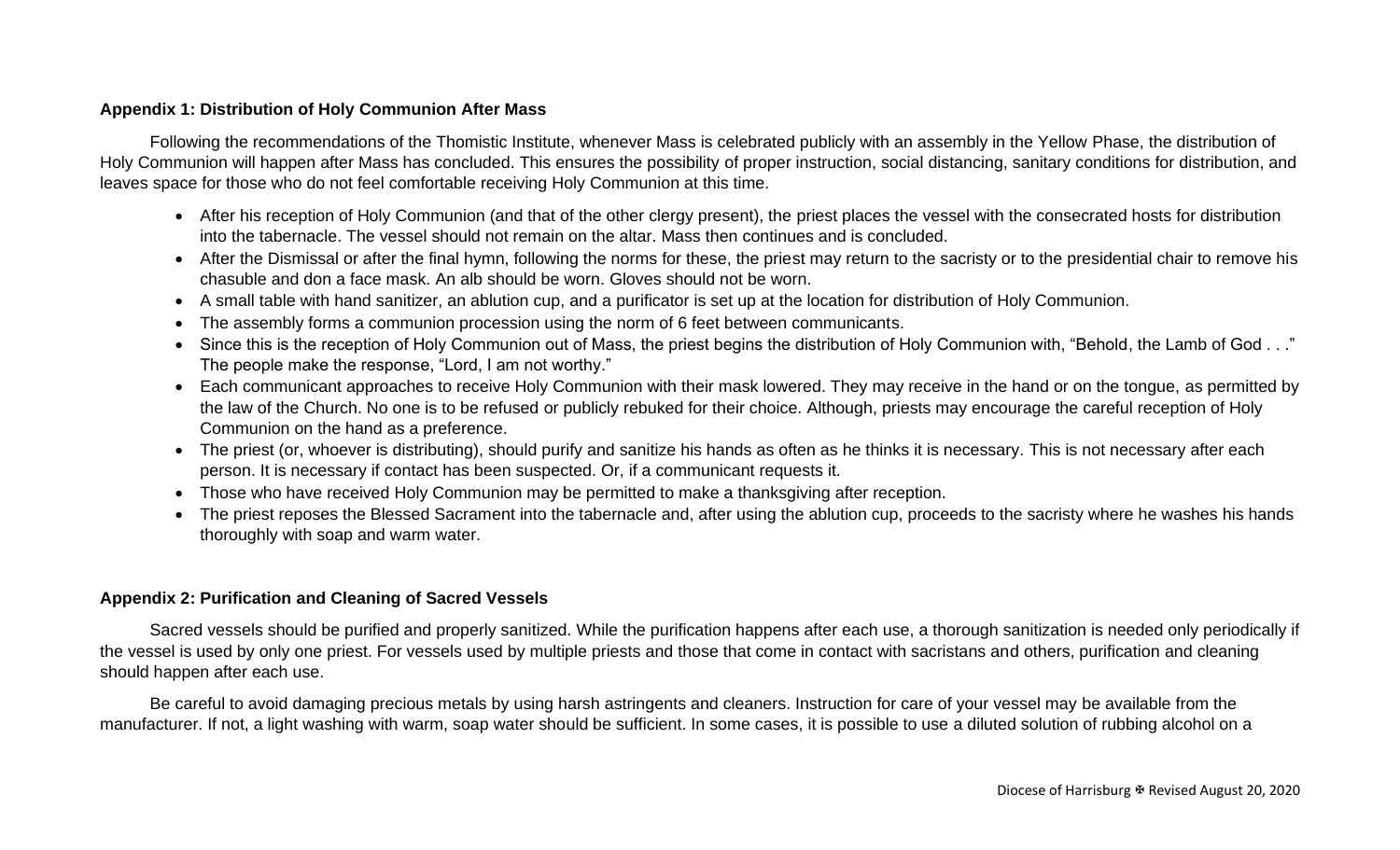## **Appendix 1: Distribution of Holy Communion After Mass**

Following the recommendations of the Thomistic Institute, whenever Mass is celebrated publicly with an assembly in the Yellow Phase, the distribution of Holy Communion will happen after Mass has concluded. This ensures the possibility of proper instruction, social distancing, sanitary conditions for distribution, and leaves space for those who do not feel comfortable receiving Holy Communion at this time.

- After his reception of Holy Communion (and that of the other clergy present), the priest places the vessel with the consecrated hosts for distribution into the tabernacle. The vessel should not remain on the altar. Mass then continues and is concluded.
- After the Dismissal or after the final hymn, following the norms for these, the priest may return to the sacristy or to the presidential chair to remove his chasuble and don a face mask. An alb should be worn. Gloves should not be worn.
- A small table with hand sanitizer, an ablution cup, and a purificator is set up at the location for distribution of Holy Communion.
- The assembly forms a communion procession using the norm of 6 feet between communicants.
- Since this is the reception of Holy Communion out of Mass, the priest begins the distribution of Holy Communion with, "Behold, the Lamb of God . . ." The people make the response, "Lord, I am not worthy."
- Each communicant approaches to receive Holy Communion with their mask lowered. They may receive in the hand or on the tongue, as permitted by the law of the Church. No one is to be refused or publicly rebuked for their choice. Although, priests may encourage the careful reception of Holy Communion on the hand as a preference.
- The priest (or, whoever is distributing), should purify and sanitize his hands as often as he thinks it is necessary. This is not necessary after each person. It is necessary if contact has been suspected. Or, if a communicant requests it.
- Those who have received Holy Communion may be permitted to make a thanksgiving after reception.
- The priest reposes the Blessed Sacrament into the tabernacle and, after using the ablution cup, proceeds to the sacristy where he washes his hands thoroughly with soap and warm water.

## **Appendix 2: Purification and Cleaning of Sacred Vessels**

Sacred vessels should be purified and properly sanitized. While the purification happens after each use, a thorough sanitization is needed only periodically if the vessel is used by only one priest. For vessels used by multiple priests and those that come in contact with sacristans and others, purification and cleaning should happen after each use.

Be careful to avoid damaging precious metals by using harsh astringents and cleaners. Instruction for care of your vessel may be available from the manufacturer. If not, a light washing with warm, soap water should be sufficient. In some cases, it is possible to use a diluted solution of rubbing alcohol on a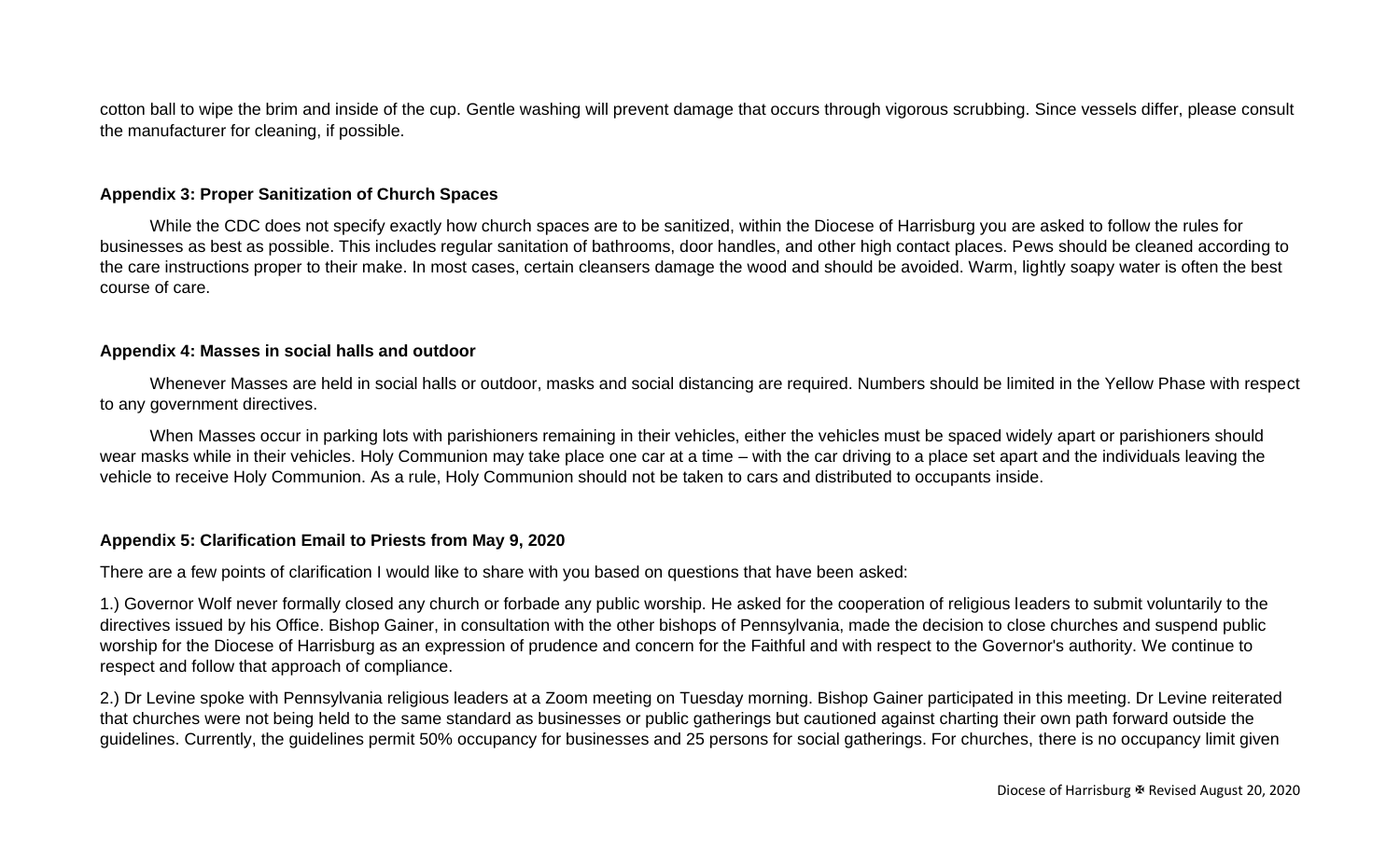cotton ball to wipe the brim and inside of the cup. Gentle washing will prevent damage that occurs through vigorous scrubbing. Since vessels differ, please consult the manufacturer for cleaning, if possible.

## **Appendix 3: Proper Sanitization of Church Spaces**

While the CDC does not specify exactly how church spaces are to be sanitized, within the Diocese of Harrisburg you are asked to follow the rules for businesses as best as possible. This includes regular sanitation of bathrooms, door handles, and other high contact places. Pews should be cleaned according to the care instructions proper to their make. In most cases, certain cleansers damage the wood and should be avoided. Warm, lightly soapy water is often the best course of care.

### **Appendix 4: Masses in social halls and outdoor**

Whenever Masses are held in social halls or outdoor, masks and social distancing are required. Numbers should be limited in the Yellow Phase with respect to any government directives.

When Masses occur in parking lots with parishioners remaining in their vehicles, either the vehicles must be spaced widely apart or parishioners should wear masks while in their vehicles. Holy Communion may take place one car at a time – with the car driving to a place set apart and the individuals leaving the vehicle to receive Holy Communion. As a rule, Holy Communion should not be taken to cars and distributed to occupants inside.

#### **Appendix 5: Clarification Email to Priests from May 9, 2020**

There are a few points of clarification I would like to share with you based on questions that have been asked:

1.) Governor Wolf never formally closed any church or forbade any public worship. He asked for the cooperation of religious leaders to submit voluntarily to the directives issued by his Office. Bishop Gainer, in consultation with the other bishops of Pennsylvania, made the decision to close churches and suspend public worship for the Diocese of Harrisburg as an expression of prudence and concern for the Faithful and with respect to the Governor's authority. We continue to respect and follow that approach of compliance.

2.) Dr Levine spoke with Pennsylvania religious leaders at a Zoom meeting on Tuesday morning. Bishop Gainer participated in this meeting. Dr Levine reiterated that churches were not being held to the same standard as businesses or public gatherings but cautioned against charting their own path forward outside the guidelines. Currently, the guidelines permit 50% occupancy for businesses and 25 persons for social gatherings. For churches, there is no occupancy limit given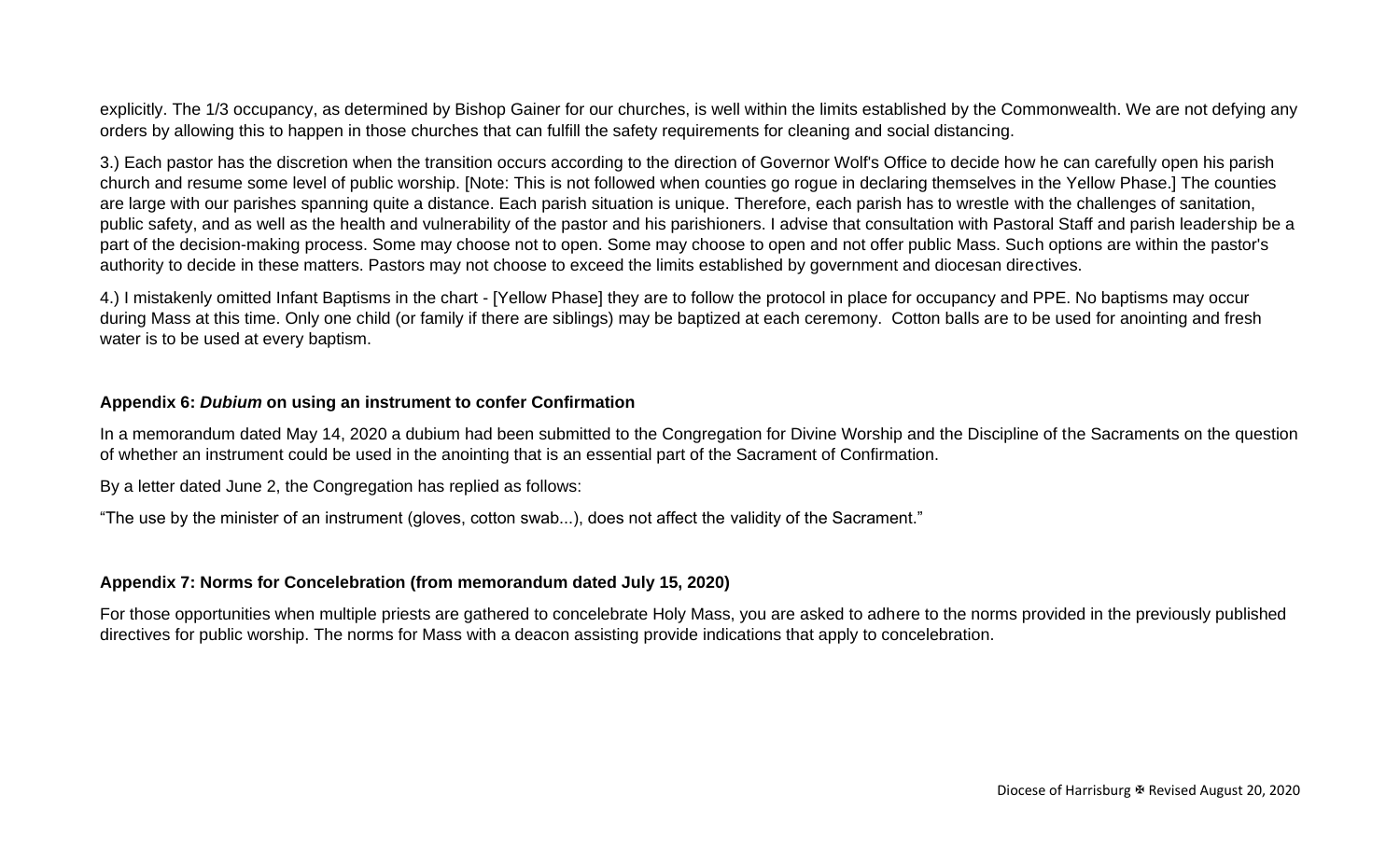explicitly. The 1/3 occupancy, as determined by Bishop Gainer for our churches, is well within the limits established by the Commonwealth. We are not defying any orders by allowing this to happen in those churches that can fulfill the safety requirements for cleaning and social distancing.

3.) Each pastor has the discretion when the transition occurs according to the direction of Governor Wolf's Office to decide how he can carefully open his parish church and resume some level of public worship. [Note: This is not followed when counties go rogue in declaring themselves in the Yellow Phase.] The counties are large with our parishes spanning quite a distance. Each parish situation is unique. Therefore, each parish has to wrestle with the challenges of sanitation, public safety, and as well as the health and vulnerability of the pastor and his parishioners. I advise that consultation with Pastoral Staff and parish leadership be a part of the decision-making process. Some may choose not to open. Some may choose to open and not offer public Mass. Such options are within the pastor's authority to decide in these matters. Pastors may not choose to exceed the limits established by government and diocesan directives.

4.) I mistakenly omitted Infant Baptisms in the chart - [Yellow Phase] they are to follow the protocol in place for occupancy and PPE. No baptisms may occur during Mass at this time. Only one child (or family if there are siblings) may be baptized at each ceremony. Cotton balls are to be used for anointing and fresh water is to be used at every baptism.

### **Appendix 6:** *Dubium* **on using an instrument to confer Confirmation**

In a memorandum dated May 14, 2020 a dubium had been submitted to the Congregation for Divine Worship and the Discipline of the Sacraments on the question of whether an instrument could be used in the anointing that is an essential part of the Sacrament of Confirmation.

By a letter dated June 2, the Congregation has replied as follows:

"The use by the minister of an instrument (gloves, cotton swab...), does not affect the validity of the Sacrament."

### **Appendix 7: Norms for Concelebration (from memorandum dated July 15, 2020)**

For those opportunities when multiple priests are gathered to concelebrate Holy Mass, you are asked to adhere to the norms provided in the previously published directives for public worship. The norms for Mass with a deacon assisting provide indications that apply to concelebration.